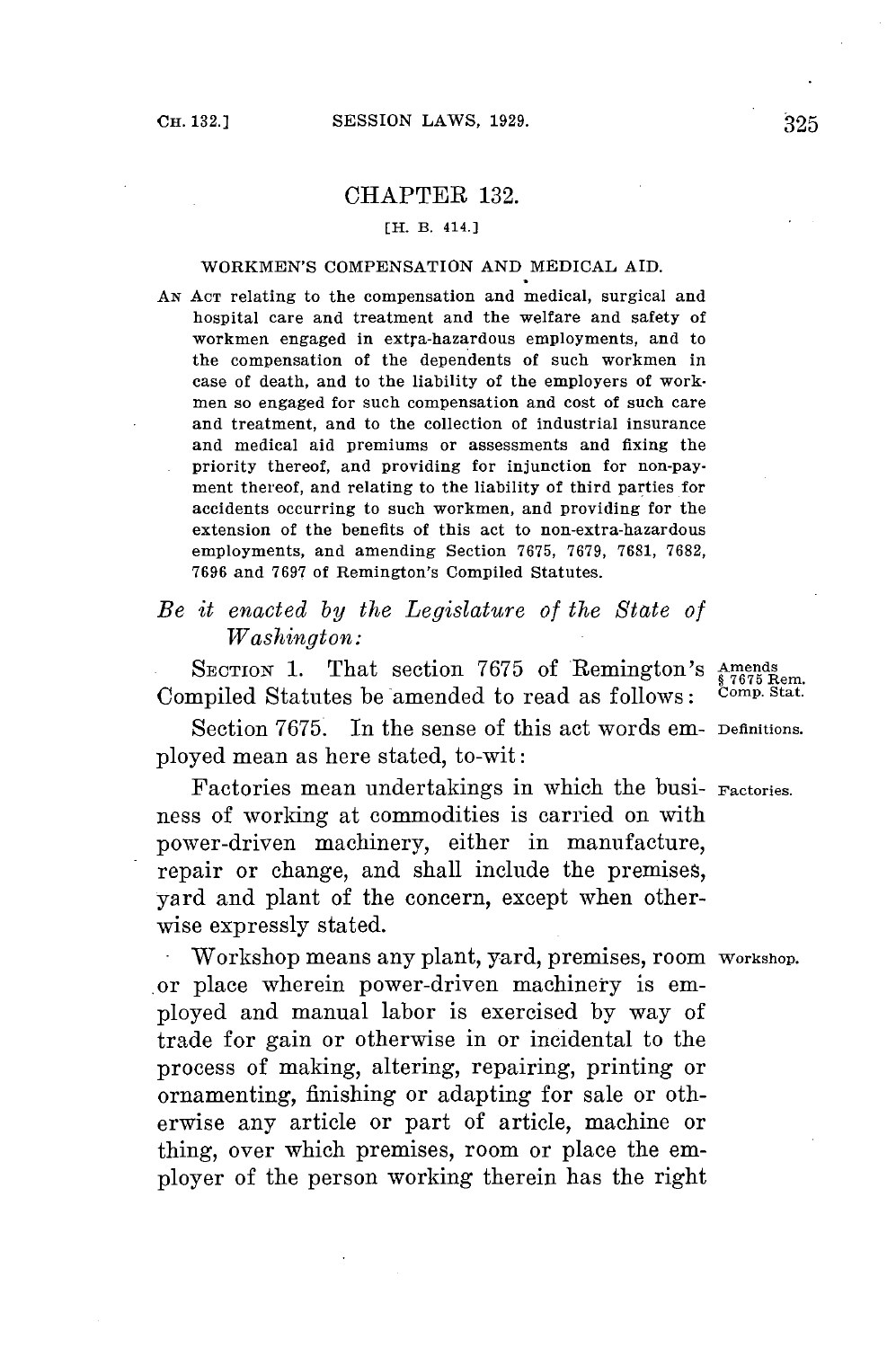## CHAPTER **132.**

### [H. B. 414.]

### WORKMEN'S **COMPENSATION AND** MEDICAL AID.

**AN ACT** relating to the compensation and medical, surgical and hospital care and treatment and the welfare and safety of workmen engaged in extra-hazardous employments, and to the compensation of the dependents of such workmen in case of death, and to the liability of the employers of workmen so engaged for such compensation and cost of such care and treatment, and to the collection of industrial insurance and medical aid premiums or assessments and fixing the priority thereof, and providing for injunction for non-payment thereof, and relating to the liability of third parties for accidents occurring to such workmen, and providing for the extension of the benefits of this act to non-extra-hazardous employments, and amending Section **7675, 7679, 7681, 7682, 7696** and **7697** of Remington's Compiled Statutes.

# *Be it enacted by the Legislature of the State of Washington:*

**SECTION 1.** That section **7675** of Remington's Amends **§ 7675** Rem. Compiled Statutes be amended to read as follows: Comp. Stat.

Section **7675.** In the sense of this act words em- Definitions. ployed mean as here stated, to-wit:

Factories mean undertakings in which the busi- Factories. ness of working at commodities is carried on with power-driven machinery, either in manufacture, repair or change, and shall include the premises, yard and plant of the concern, except when otherwise expressly stated.

Workshop means any plant, yard, premises, room Workshop. or place wherein power-driven machinery is employed and manual labor is exercised **by** way of trade **for** gain or otherwise in or incidental to the process of making, altering, repairing, printing or ornamenting, finishing or adapting **for** sale or otherwise any article or part of article, machine or thing, over which premises, room or place the employer of the person working therein has the right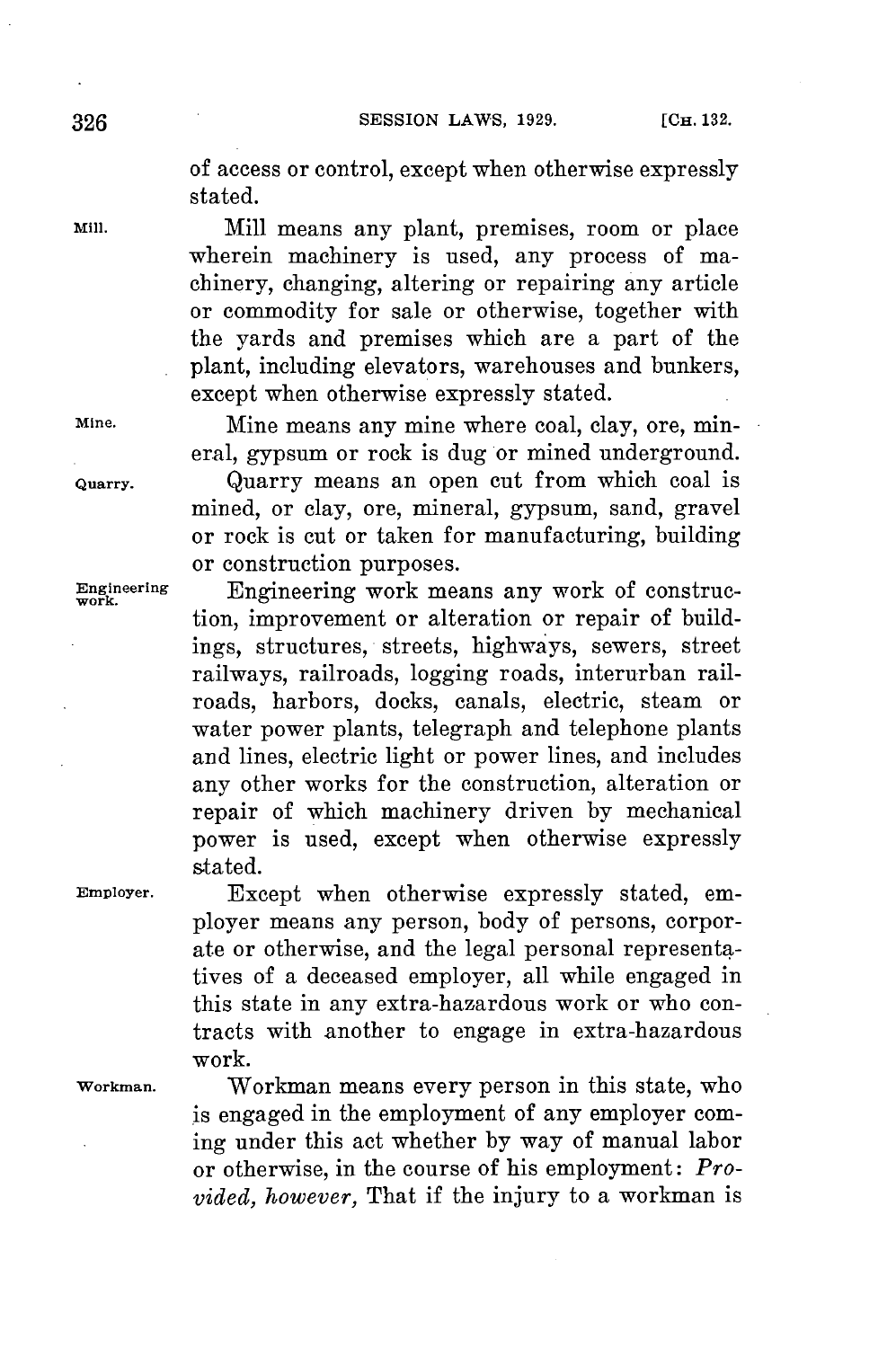**SESSION LAWS, 1929.** [CH. 132.

of access or control, except when otherwise expressly stated.

**Mill.** Mill means any plant, premises, room or place wherein machinery is used, any process of machinery, changing, altering or repairing any article or commodity for sale or otherwise, together with the yards and premises which are a part of the plant, including elevators, warehouses and bunkers, except when otherwise expressly stated.

**Mine.** Mine means any mine where coal, clay, ore, mineral, gypsum or rock is dug or mined underground. **Quarry.** Quarry means an open cut from which coal is mined, or clay, ore, mineral, gypsum, sand, gravel or rock is cut or taken for manufacturing, building or construction purposes.

**Engineering** Engineering work means any work of construetion, improvement or alteration or repair of buildings, structures, streets, highways, sewers, street railways, railroads, logging roads, interurban railroads, harbors, docks, canals, electric, steam or water power plants, telegraph and telephone plants and lines, electric light or power lines, and includes any other works for the construction, alteration or repair of which machinery driven **by** mechanical power is used, except when otherwise expressly stated.

**Employer.** Except when otherwise expressly stated, employer means any person, body of persons, corporate or otherwise, and the legal personal representatives of a deceased employer, all while engaged in this state in any extra-hazardous work or who contracts with another to engage in extra-hazardous work.

**Workman.** Workman means every person in this state, who is engaged in the employment of any employer coming under this act whether **by** way of manual labor or otherwise, in the course of his employment: *Provided, however,* That if the injury to a workman is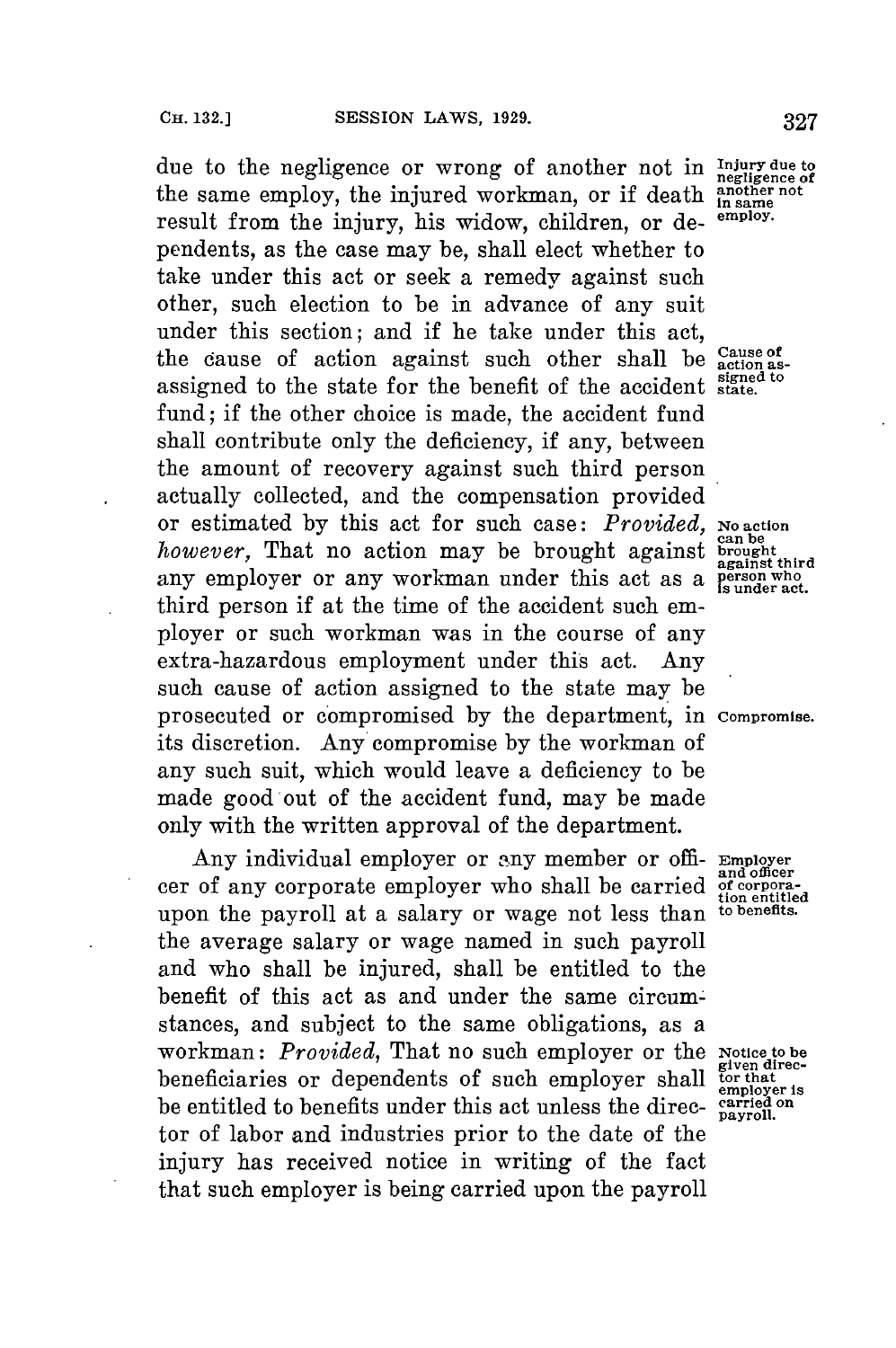due to the negligence or wrong of another not in **Injury due to** the same employ, the injured workman, or if death **in** same the same employ, the injured workman, or if death **another** notation and the interresult from the injury, his widow, children, or dependents, as the case may be, shall elect whether to take under this act or seek a remedy against such other, such election to be in advance of any suit under this section; and if he take under this act, the cause of action against such other shall be the cause of action against such other shall be **action as- signed to** assigned to the state for the benefit of the accident **state.** fund; if the other choice is made, the accident fund shall contribute only the deficiency, if any, between the amount of recovery against such third person actually collected, and the compensation provided or estimated by this act for such case: *Provided*, No action *however*, That no action may be brought against **brought**. any employer or any workman under this act as a **person who** third person if at the time of the accident such employer or such workman was in the course of any extra-hazardous employment under this act. Any such cause of action assigned to the state may be prosecuted or compromised **by** the department, in **compromise.** its discretion. Any compromise **by** the workman of any such suit, which would leave a deficiency to be made good out of the accident fund, may be made only with the written approval of the department.

Any individual employer or any member or offi- **Employer** cer of any corporate employer who shall be carried  $\frac{d}{d}$  of corpora-<br>upon the payroll at a salary or wage not less than to benefits. upon the payroll at a salary or wage not less than the average salary or wage named in such payroll and who shall be injured, shall be entitled to the benefit of this act as and under the same circumstances, and subject to the same obligations, as a workman: *Provided*, That no such employer or the Notice to be<br>heneficiaries or dependents of such employer shall for that beneficiaries or dependents of such employer shall be entitled to benefits under this act unless the direc- carried on<br>be entitled to benefits under this act unless the direc- carried. tor of labor and industries prior to the date of the injury has received notice in writing of the fact that such employer is being carried upon the payroll

**against third**

**and officer**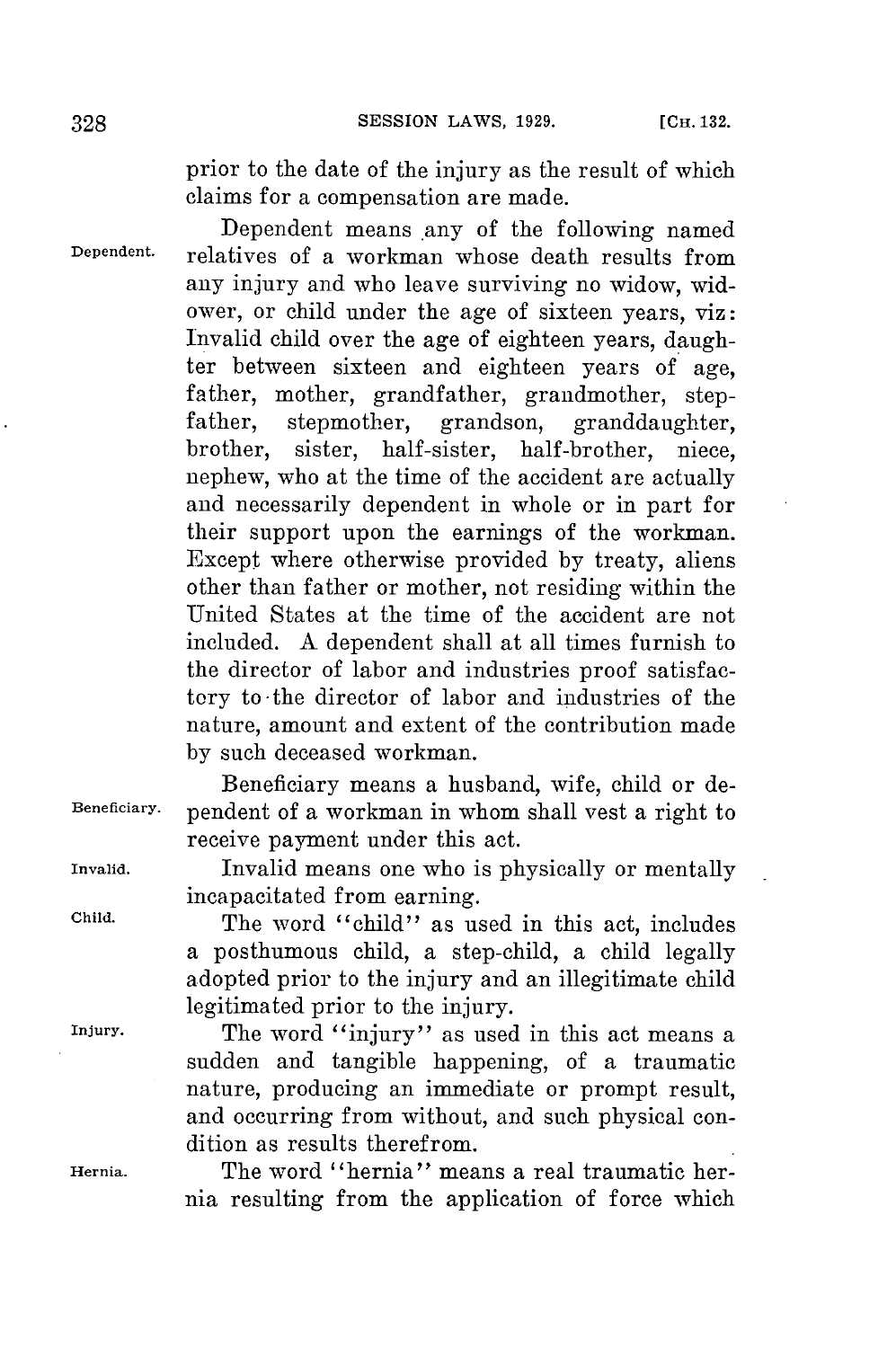prior to the date of the injury as the result of which claims **for** a compensation are made.

Dependent means any of the following named **Dependent.** relatives of a workman whose death results from any injury and who leave surviving no widow, widower, or child under the age of sixteen years, viz: Invalid child over the age of eighteen years, daughter between sixteen and eighteen years of age, father, mother, grandfather, grandmother, step-<br>father, stepmother, grandson, granddaughter, father, stepmother, grandson, granddaughter,<br>brother, sister, half-sister, half-brother, niece, sister, half-sister, half-brother, niece, nephew, who at the time of the accident are actually and necessarily dependent in whole or in part for their support upon the earnings of the workman. Except where otherwise provided **by** treaty, aliens other than father or mother, not residing within the United States at the time of the accident are not included. **A** dependent shall at all times furnish to the director of labor and industries proof satisfactory to-the director of labor and industries of the nature, amount and extent of the contribution made **by** such deceased workman.

Beneficiary means a husband, wife, child or de-**Beneficiary.** pendent of a workman in whom shall vest a right to receive payment under this act.

**Invalid.** Invalid means one who is physically or mentally incapacitated from earning.

**Child.** The word "child" as used in this act, includes a posthumous child, a step-child, a child legally adopted prior to the injury and an illegitimate child legitimated prior to the injury.

**Injury.** The word "injury" as used in this act means a sudden and tangible happening, of a traumatic nature, producing an immediate or prompt result, and occurring from without, and such physical condition as results therefrom.

**Hernia.** The word "hernia" means a real traumatic hernia resulting from the application of force which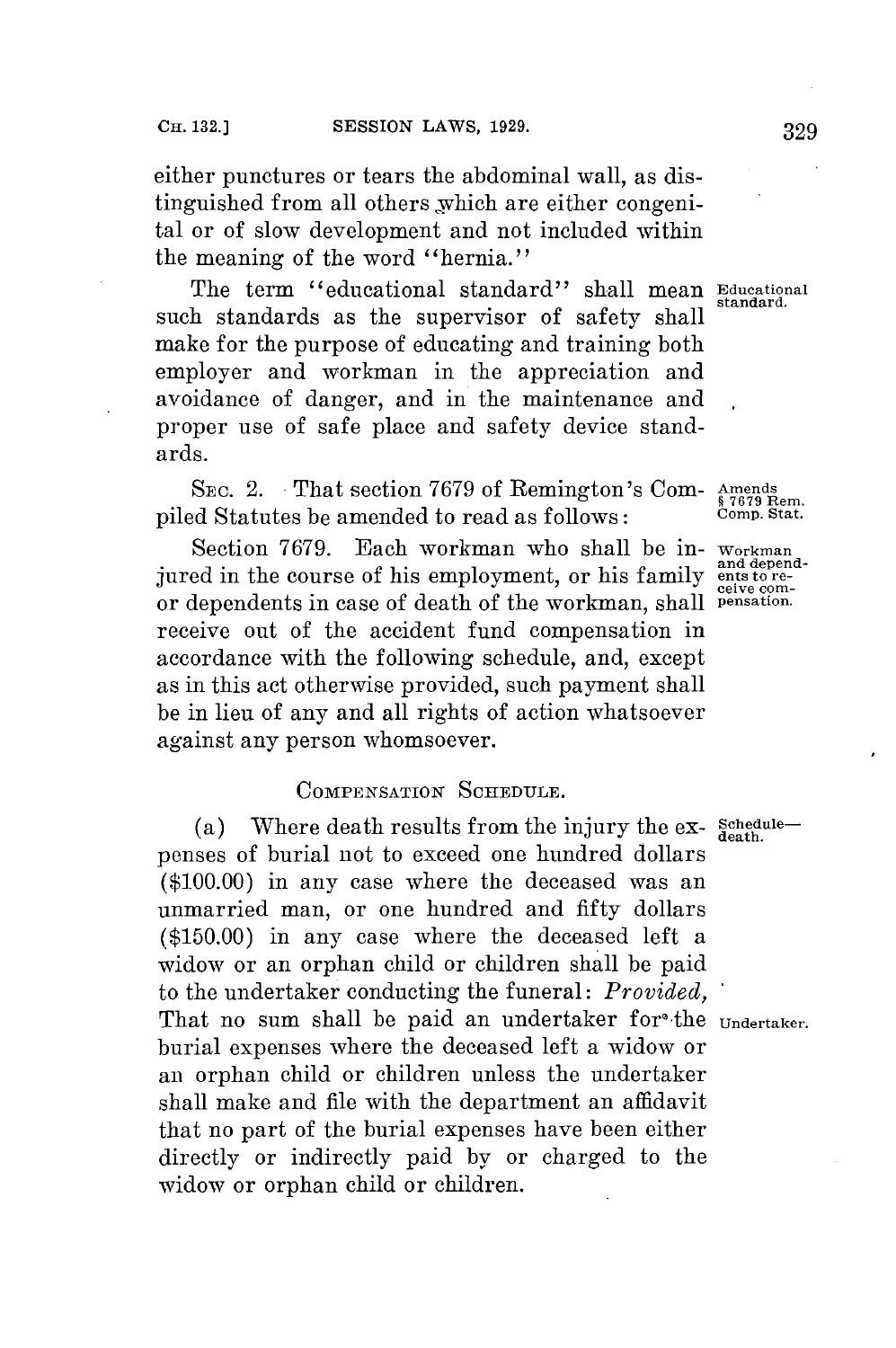either punctures or tears the abdominal wall, as distinguished from all others \_which are either congenital or of slow development and not included within the **meaning of** the word "hernia."

The term "educational standard" shall mean **Educational standard.** such standards as the supervisor of safety shall make for the purpose of educating and training both employer and workman in the appreciation and avoidance of danger, and in the maintenance and proper use of safe place and safety device standards.

SEc. 2. That section **7679** of Remington's **Com-** Amends **<sup>47679</sup>**Rem. piled Statutes be amended to read as follows: Comp. Stat.

Section **7679.** Each workman who shall **be** in- **Workman** jured in the course of his employment, or his family **ents to re-**<br>or dependents in case of death of the workman shall pensation. or dependents in case of death of the workman, shall receive out of the accident fund compensation in accordance with the following schedule, and, except as in this act otherwise provided, such payment shall be in lieu of any and all rights of action whatsoever against any person whomsoever.

## **COMPENSATION SCHEDULE.**

(a) Where death results from the injury the ex- $\frac{\text{Schedule}}{\text{death}}$ penses of burial not to exceed one hundred dollars **(\$100.00)** in any case where the deceased was an unmarried man, or one hundred and fifty dollars **(\$150.00)** in any case where the deceased left a widow or an orphan child or children shall be paid to the undertaker conducting the funeral: *Provided,* That no sum shall be paid an undertaker for<sup>o</sup>the **Undertaker**. burial expenses where the deceased left a widow or an orphan child or children unless the undertaker shall make and file with the department an affidavit that no part of the burial expenses have been either directly or indirectly paid **by** or charged to the widow or orphan child or children.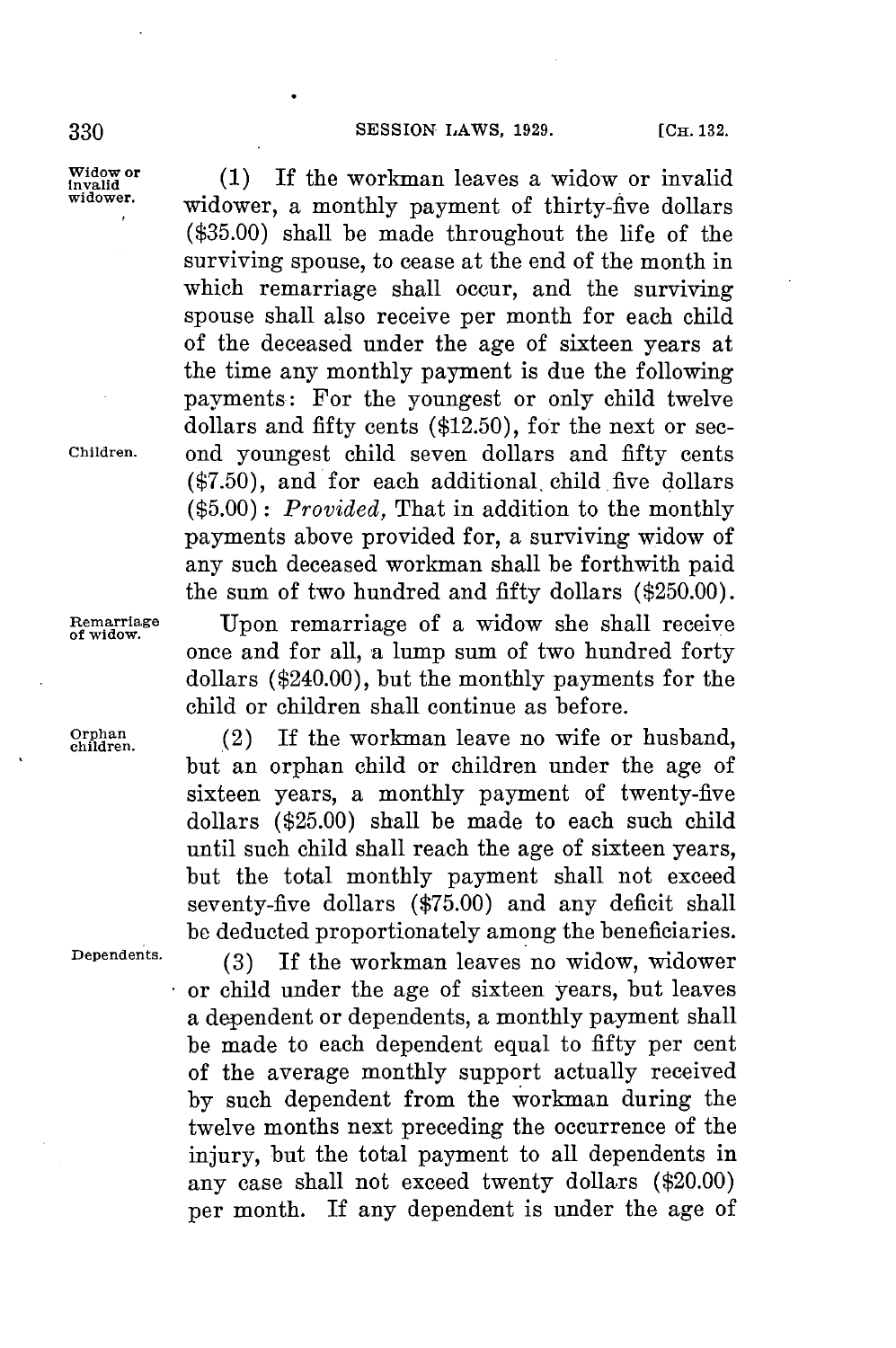# **SESSION LAWS, 1929.** [CH. 132.

 $\begin{array}{c}\n\text{Widow or} \\
\text{invalided} \\
\text{involower.} \\
\text{iniquormalized} \\
\end{array}$ widower, a monthly payment of thirty-five dollars **(\$35.00)** shall be made throughout the life of the surviving spouse, to cease at the end of the month in which remarriage shall occur, and the surviving spouse shall also receive per month for each child of the deceased under the age of sixteen years at the time any monthly payment is due the following payments: For the youngest or only child twelve dollars and fifty cents **(\$12.50),** for the next or sec-**Children.** ond youngest child seven dollars and fifty cents **(\$7.50),** and for each additional, child five dollars *(\$5.00): Provided,* That in addition to the monthly payments above provided for, a surviving widow of any such deceased workman shall be forthwith paid the sum of two hundred and fifty dollars **(\$250.00). Remarriage** Upon remarriage of a widow she shall receive **of widow.** once and **for** all, a lump sum of two hundred forty dollars (\$240.00), but the monthly payments for the child or children shall continue as before.

**Orphan.** (2) If the workman leave no wife or husband, **children..2** but an orphan child or children under the age of sixteen years, a monthly payment of twenty-five dollars **(\$25.00)** shall be made to each such child until such child shall reach the age of sixteen years, but the total monthly payment shall not exceed seventy-five dollars **(\$75.00)** and any deficit shall **be** deducted proportionately among the beneficiaries.

**Dependents. (3)** If the workman leaves no widow, widower or child under the age of sixteen years, but leaves a dependent or dependents, a monthly payment shall be made to each dependent equal to fifty per cent of the average monthly support actually received **by** such dependent from the workman during the twelve months next preceding the occurrence of the injury, but the total payment to all dependents in any case shall not exceed twenty dollars (\$20.00) per month. If any dependent is under the age of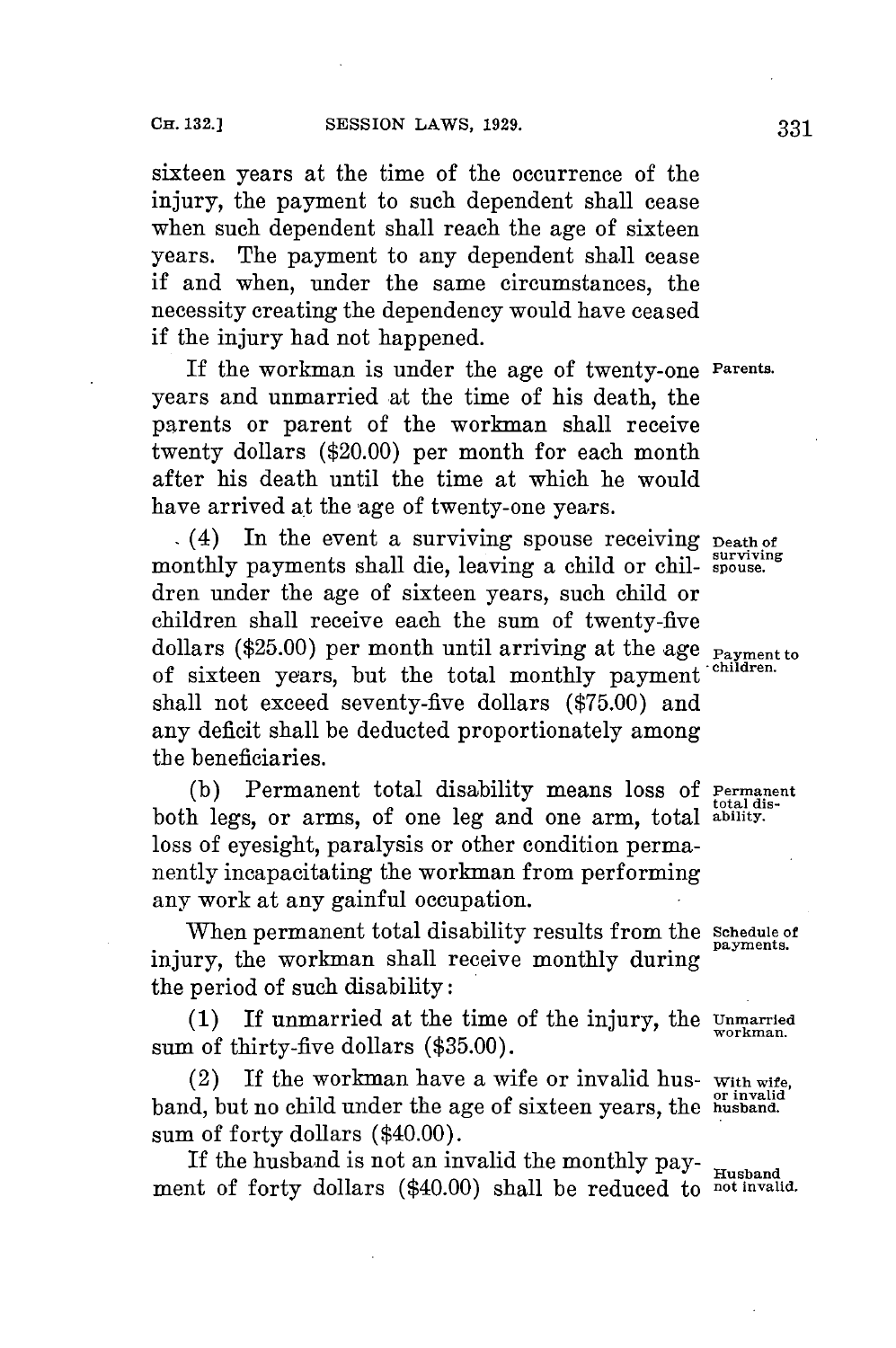sixteen years at the time of the occurrence of the injury, the payment to such dependent shall cease when such dependent shall reach the age of sixteen years. The payment to any dependent shall cease if and when, under the same circumstances, the necessity creating the dependency would have ceased if the injury had not happened.

If the workman is under the age of twenty-one **Parents.** years and unmarried at the time of his death, the parents or parent of the workman shall receive twenty dollars (\$20.00) per month for each month after his death until the time at which he would have arrived at the age of twenty-one years.

(4) In the event a surviving spouse receiving **Death of** monthly payments shall die, leaving a child or chil- spouse. dren under the age of sixteen years, such child or children shall receive each the sum of twenty-five dollars (\$25.00) per month until arriving at the age **Payment** to of sixteen years, but the total monthly payment shall not exceed seventy-five dollars **(\$75.00)** and any deficit shall be deducted proportionately among the beneficiaries.

**(b)** Permanent total disability means loss **of Permanent** total **dis-** both legs, or arms, of one leg and one arm, total **ability.** loss of eyesight, paralysis or other condition permanently incapacitating the workman from performing any work at any gainful occupation.

When permanent total disability results from the **Schedule of** payments. injury, the workman shall receive monthly during the period of such disability:

(1) If unmarried at the time of the injury, the  $\frac{Unmarried}{workman}$ sum of thirty-five dollars **(\$35.00).**

(2) If the workman have a wife or invalid hus- **With wife, or invalid** band, but no child under the age of sixteen years, the **husband.** sum of forty dollars (\$40.00).

If the husband is not an invalid the monthly payment of forty dollars (\$40.00) shall be reduced to **not invalid.**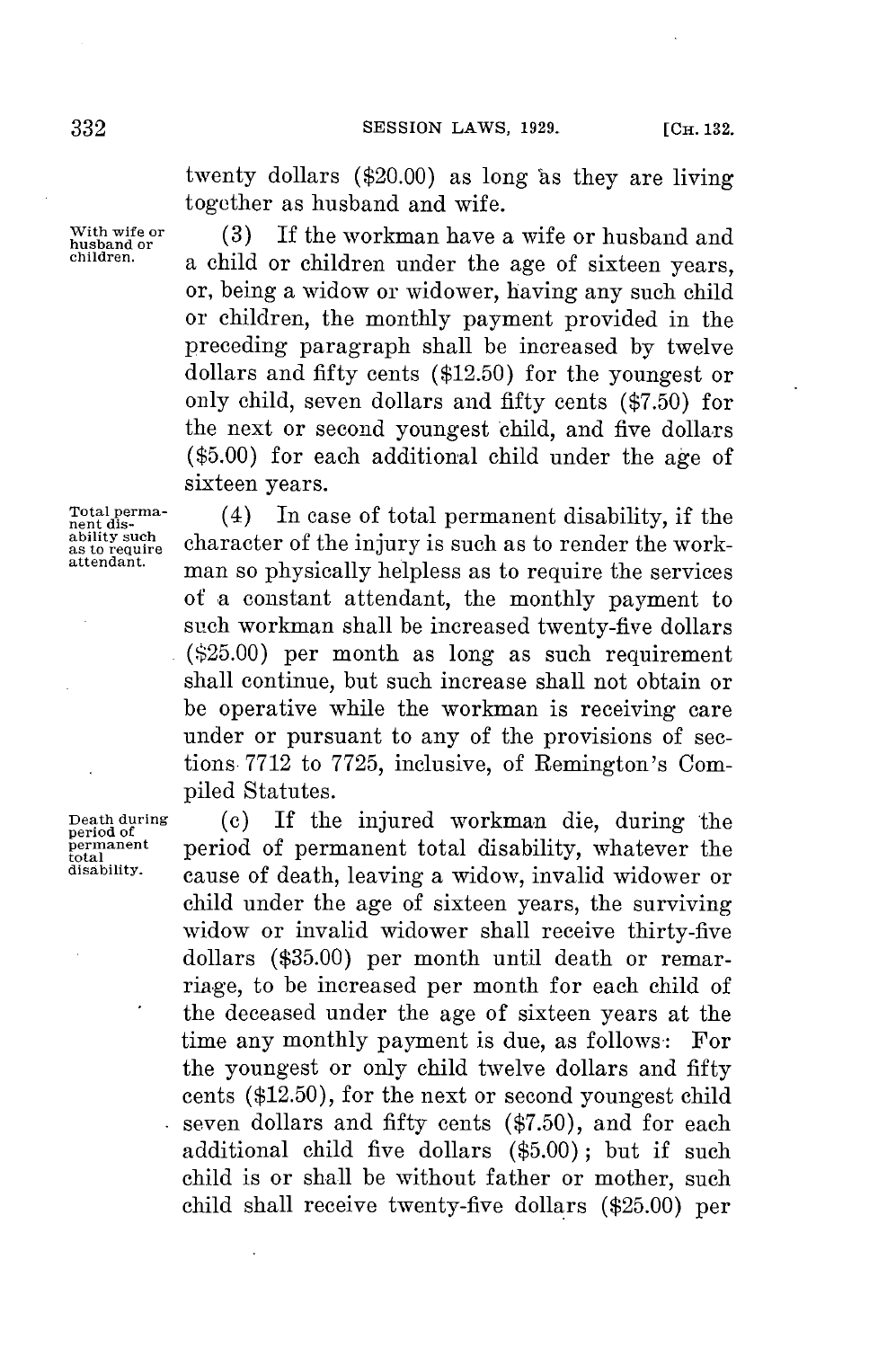twenty dollars  $(\$20.00)$  as long as they are living together as husband and wife.

With wife or  $\begin{array}{c} (3) \ \text{If the workman have a wife or husband and husband.} \end{array}$ a child or children under the age of sixteen years, or, being a widow or widower, having any such child or children, the monthly payment provided in the preceding paragraph shall be increased **by** twelve dollars and fifty cents **(\$12.50)** for the youngest or only child, seven dollars and fifty cents **(\$7.50)** for the next or second youngest child, and five dollars **(\$5.00)** for each additional child under the age of sixteen years.

Total perma-<br>nent dis-<br>ability such

Total perma-<br>
nent dis-<br>
ability such<br>
as to require<br>
as to render the work-<br>
attendant.<br> **ability** is such as to render the work-<br>
attendant. man so physically helpless as to require the services of a constant attendant, the monthly payment to such workman shall be increased twenty-five dollars **(\$25.00)** per month as long as such requirement shall continue, but such increase shall not obtain or be operative while the workman is receiving care under or pursuant to any of the provisions of sections **7712** to **7725,** inclusive, of Remington's Compiled Statutes.

Death during (c) If the injured workman die, during the **period of permanent period** of **permanent total** disability, whatever the disability. **disability.** cause of death, leaving a widow, invalid widower or child under the age of sixteen years, the surviving widow or invalid widower shall receive thirty-five dollars **(\$35.00)** per month until death or remarriage, to **be** increased per month for each child of the deceased under the age of sixteen years at the time any monthly payment is due, as follows: For the youngest or only child twelve dollars and fifty cents **(\$12.50),** for the next or second youngest child seven dollars and fifty cents (\$7.50), and for each additional child five dollars **(\$5.00);** but if such child is or shall be without father or mother, such child shall receive twenty-five dollars **(\$25.00)** per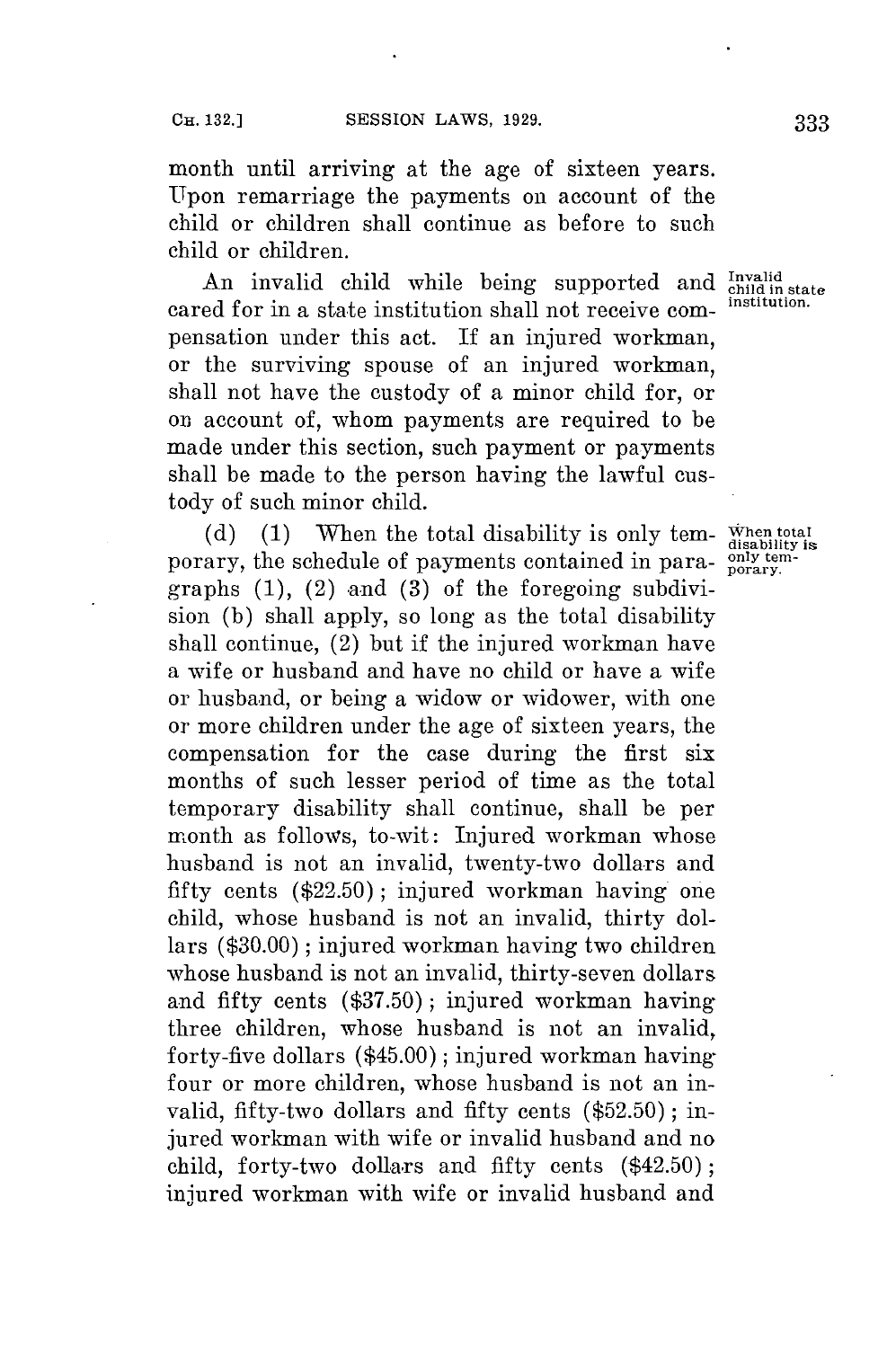month until arriving at the age of sixteen years. Upon remarriage the payments on account of the child or children shall continue as before to such child or children.

An invalid child while being supported and *Invalid* end *indin state* cared **for** in a state institution shall not receive com- **institution.** pensation under this act. If an injured workman, or the surviving spouse of an injured workman, shall not have the custody of a minor child for, or on account of, whom payments are required to be made under this section, such payment or payments shall be made to the person having the lawful custody of such minor child.

(d) (1) When the total disability is only tem- $\frac{\text{When total}}{\text{disability is}}$ porary, the schedule of payments contained in para-  $\frac{\text{only term}}{\text{porary}}$ . graphs  $(1)$ ,  $(2)$  and  $(3)$  of the foregoing subdivision **(b)** shall apply, so long as the total disability shall continue, (2) but if the injured workman have a wife or husband and have no child or have a wife or husband, or being a widow or widower, with one or more children under the age of sixteen years, the compensation for the case during the first six months of such lesser period of time as the total temporary disability shall continue, shall be per month as follows, to-wit: Injured workman whose husband is not an invalid, twenty-two dollars and fifty cents **(\$22.50);** injured workman having one child, whose husband is not an invalid, thirty dollars **(\$30.00);** injured workman having two children whose husband is not an invalid, thirty-seven dollars and fifty cents **(\$37.50);** injured workman having three children, whose husband is not an invalid, forty-five dollars (\$45.00); injured workman having four or more children, whose husband is not an invalid, fifty-two dollars and fifty cents **(\$52.50) ;** injured workman with wife or invalid husband and no child, forty-two dollars and fifty cents (\$42.50); injured workman with wife or invalid husband and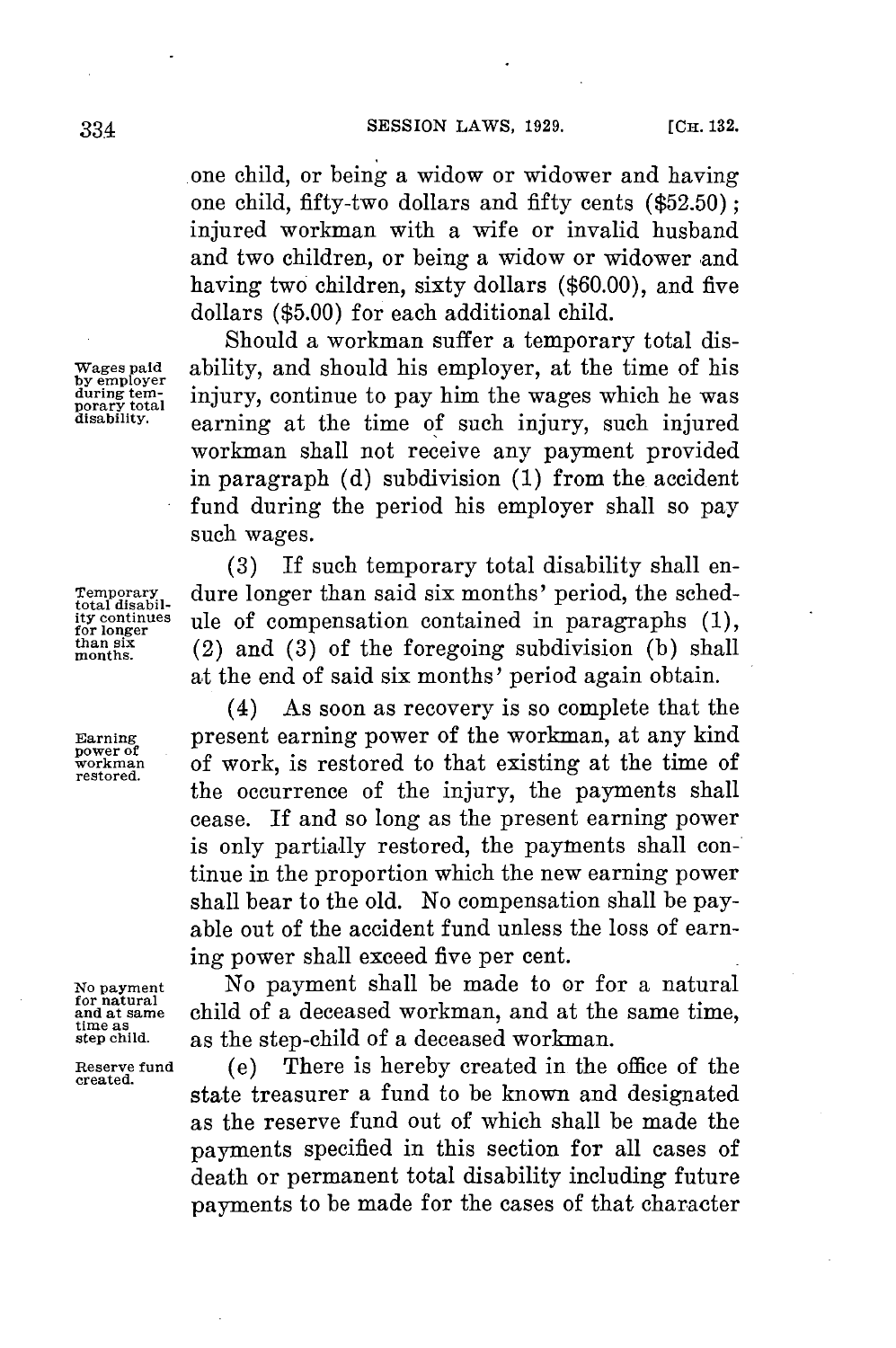.one child, or being a widow or widower and having one child, fifty-two dollars and fifty cents **(\$52.50);** injured workman with a wife or invalid husband and two children, or being a widow or widower and having two children, sixty dollars **(\$60.00),** and five dollars **(\$5.00)** for each additional child.

Should a workman suffer a temporary total disability, and should his employer, at the time of his injury, continue to pay him the wages which he was earning at the time of such injury, such injured workman shall not receive any payment provided in paragraph **(d)** subdivision **(1)** from the accident fund during the period his employer shall so pay such wages.

**(3) If** such temporary total disability shall en-**Temporary** dure longer than said six months' period, the sched-<br> *total disabil-* continues ule of compensation contained in paragraphs (1), **ity continues** ule of compensation contained in paragraphs  $(1)$ , than six  $(2)$  and  $(3)$  of the foregoing subdivision  $(b)$  shall moants (2) and **(3)** of the foregoing subdivision **(b)** shall at the end of said six months' period again obtain.

(4) As soon as recovery is so complete that the **Earning** present earning power of the workman, at any kind **workman** of work is restored to that existing at the time of **restored.** the occurrence of the injury, the payments shall cease. If and so long as the present earning power is only partially restored, the payments shall continue in the proportion which the new earning power shall bear to the old. No compensation shall be payable out of the accident fund unless the loss of earning power shall exceed five per cent.

**No payment** No payment shall be made to or for a natural for natural child of a deceased workman, and at the same time, time as<br>time as<br>step child. as the step-child of a deceased workman. **step child.** as the step-child of a deceased workman.

**Reserve fund** (e) There is hereby created in the office of the **created.** state treasurer a fund to be known and designated as the reserve fund out of which shall be made the payments specified in this section for all cases of death or permanent total disability including future payments to be made for the cases of that character

Wages paid<br>by employer<br>during tem-<br>porary total<br>disability.

**power of**

**for natural**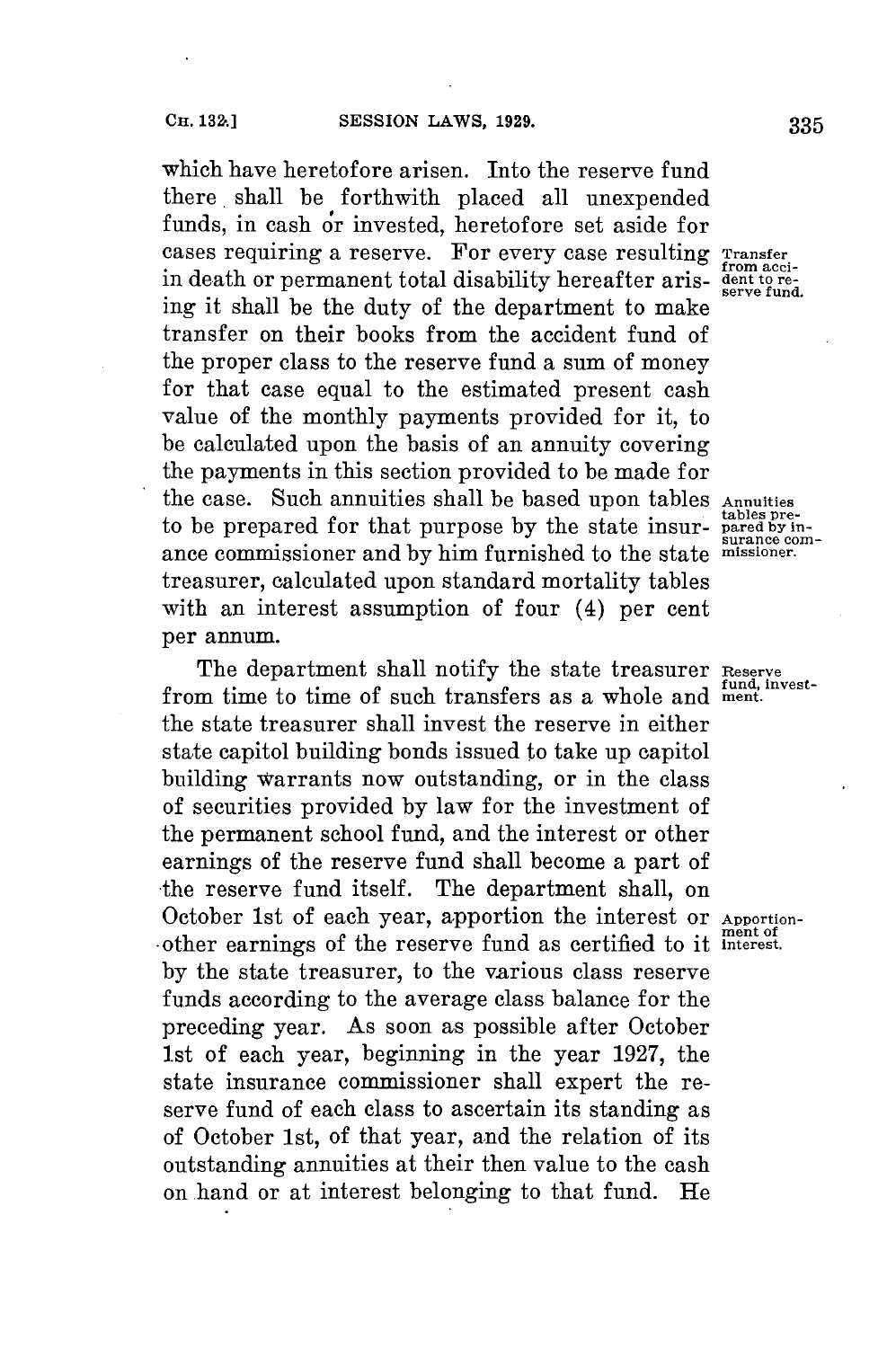which have heretofore arisen. Into the reserve fund there shall be forthwith placed all unexpended funds, in cash or invested, heretofore set aside for cases requiring a reserve. For every case resulting Transfer **from acci-** in death or permanent total disability hereafter aris- **dent to re- serve fund.** ing it shall be the duty of the department to make transfer on their books from the accident fund of the proper class to the reserve fund a sum of money for that case equal to the estimated present cash value of the monthly payments provided for it, to **be** calculated upon the basis of an annuity covering the payments in this section provided to be made **for** the case. Such annuities shall be based upon tables **Annuities** to be prepared for that purpose by the state insur- **pared by in-**<br> **tables** preance commissioner and **by** him furnished to the state **missioner.** treasurer, calculated upon standard mortality tables with an interest assumption of four (4) per cent per annum.

The department shall notify the state treasurer **Reserve** fund, investfrom time to time of such transfers as a whole and **ment**. the state treasurer shall invest the reserve in either state capitol building bonds issued to take up capitol building warrants now outstanding, or in the class of securities provided **by** law for the investment of the permanent school fund, and the interest or other earnings of the reserve fund shall become a part of the reserve fund itself. The department shall, on October 1st of each year, apportion the interest or **Apportion**other earnings of the reserve fund as certified to it interest. **by** the state treasurer, to the various class reserve funds according to the average class balance for the preceding year. As soon as possible after October 1 st of each year, beginning in the year **1927,** the state insurance commissioner shall expert the reserve fund of each class to ascertain its standing as of October 1st, of that year, and the relation of its outstanding annuities at their then value to the cash on hand or at interest belonging to that fund. He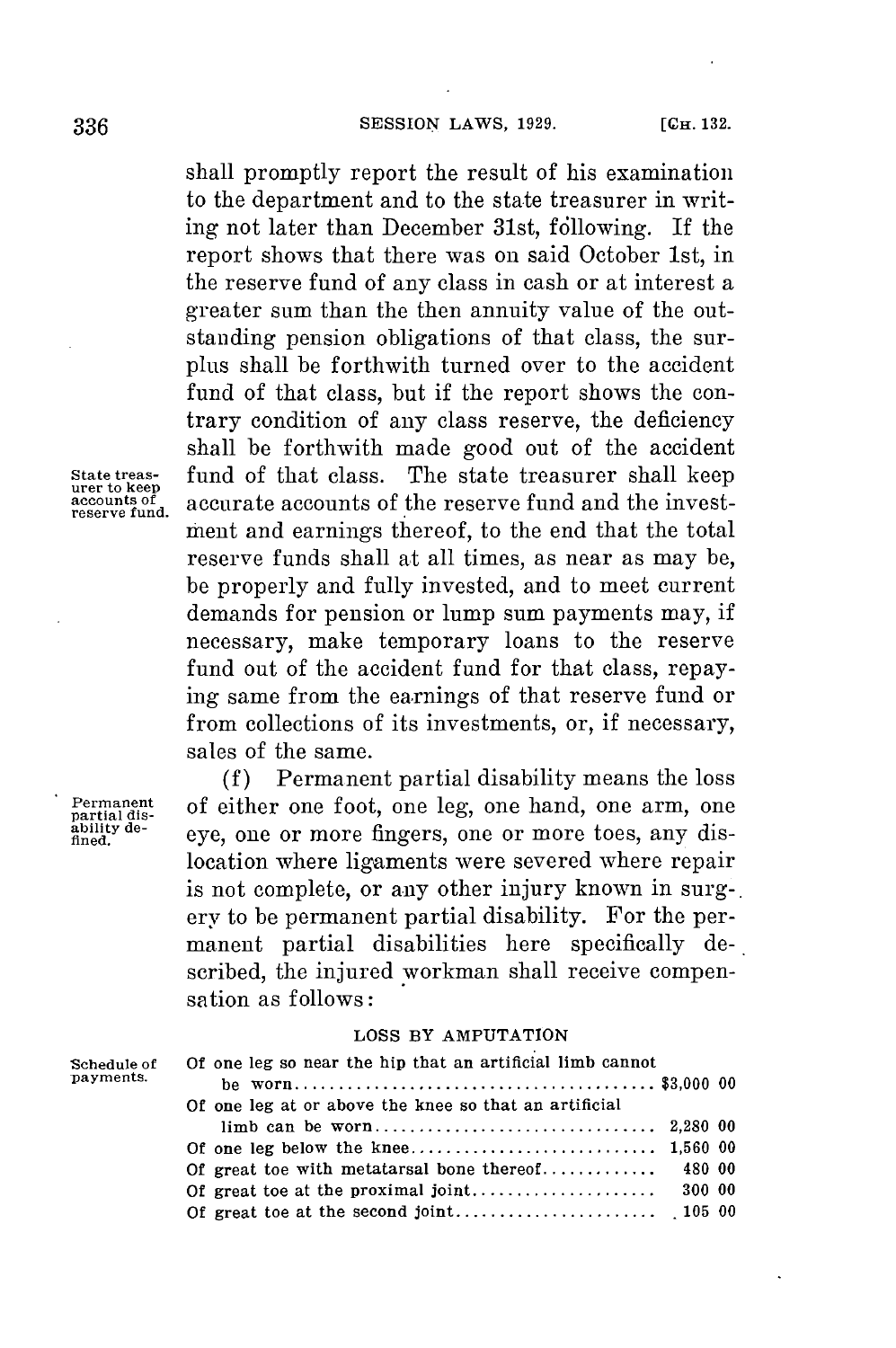shall promptly report the result of his examination to the department and to the state treasurer in writing not later than December 31st, following. If the report shows that there was on said October 1st, in the reserve fund of any class in cash or at interest a greater sum than the then annuity value of the outstanding pension obligations of that class, the surplus shall be forthwith turned over to the accident fund of that class, but if the report shows the contrary condition of any class reserve, the deficiency shall be forthwith made good out of the accident **State treas-** fund of that class. The state treasurer shall keep **urer to keep accounts of** accurate accounts of the reserve fund and the invest- **reserve fund.** ment and earnings thereof, to the end that the total reserve funds shall at all times, as near as may be, be properly and fully invested, and to meet current demands **for** pension or lump sum payments may, if necessary, make temporary loans to the reserve fund out of the accident fund for that class, repaying same from the earnings of that reserve fund or from collections of its investments, or, if necessary, sales of the same.

**(f)** Permanent partial disability means the loss Permanent of either one foot, one leg, one hand, one arm, one *ability de-* even one or more fingers one or more toes any dis*finity de-* eye, one or more fingers, one or more toes, any dislocation where ligaments were severed where repair is not complete, or any other injury known in surg-. ery to be permanent partial disability. For the permanent partial disabilities here specifically described, the injured workman shall receive compensation as follows:

### **LOSS BY AMPUTATION**

| Schedule of<br>payments. | Of one leg so near the hip that an artificial limb cannot |
|--------------------------|-----------------------------------------------------------|
|                          |                                                           |
|                          | Of one leg at or above the knee so that an artificial     |
|                          |                                                           |
|                          |                                                           |
|                          |                                                           |
|                          |                                                           |
|                          |                                                           |
|                          |                                                           |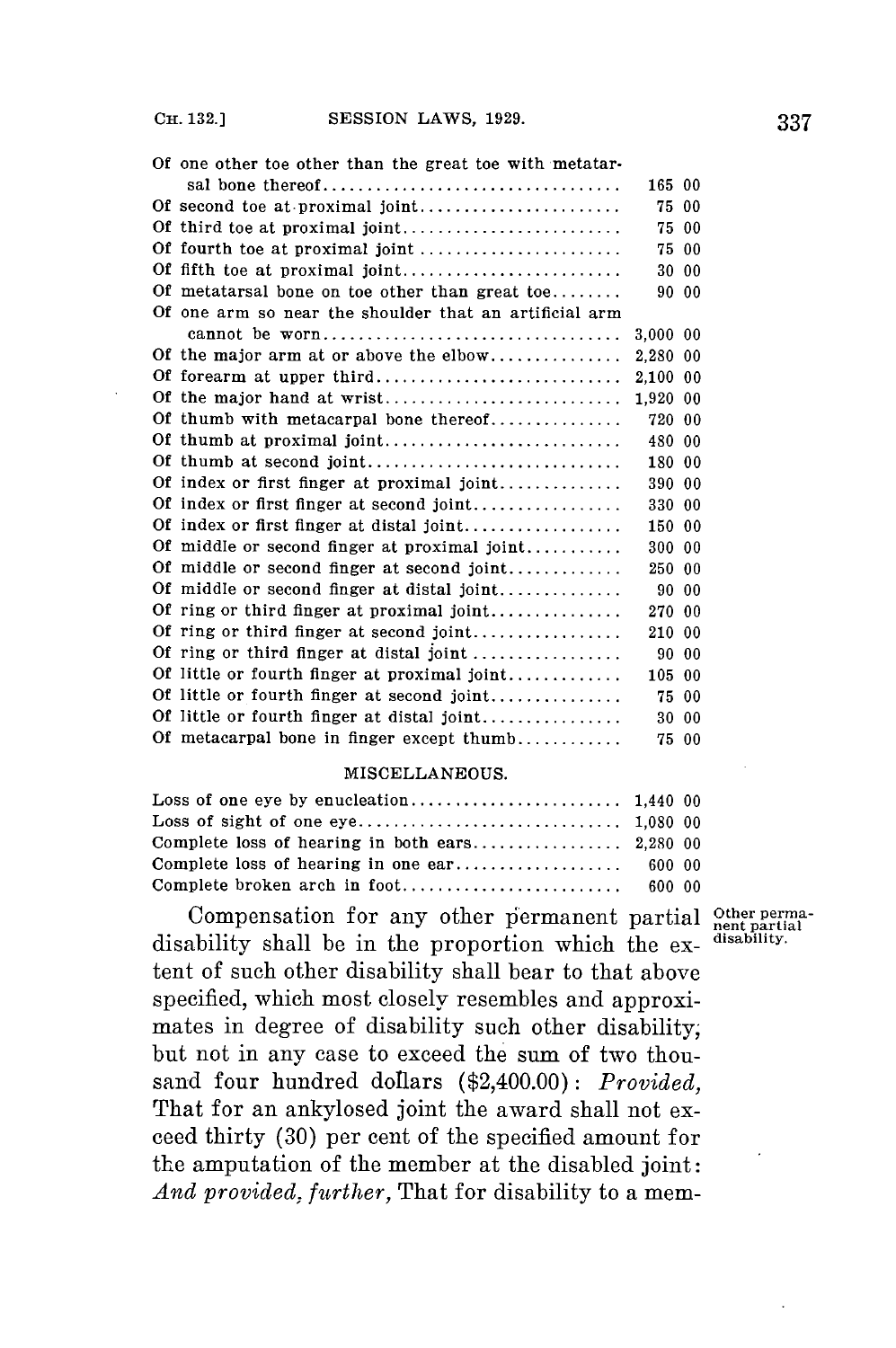| Of one other toe other than the great toe with metatar- |          |       |
|---------------------------------------------------------|----------|-------|
| sal bone thereof                                        | 165 00   |       |
| Of second toe at proximal joint                         | 75.      | 00    |
| Of third toe at proximal joint                          |          | 75 00 |
| Of fourth toe at proximal joint                         |          | 75 00 |
| Of fifth toe at proximal joint                          |          | 30 00 |
| Of metatarsal bone on toe other than great to $e$       |          | 90 00 |
| Of one arm so near the shoulder that an artificial arm  |          |       |
| cannot be worn                                          | 3.000 00 |       |
| Of the major arm at or above the elbow                  | 2,280 00 |       |
| Of forearm at upper third                               | 2.100 00 |       |
| Of the major hand at wrist                              | 1.920 00 |       |
| Of thumb with metacarpal bone thereof                   | 720 00   |       |
| Of thumb at proximal joint                              | 480 00   |       |
| Of thumb at second joint                                | 180 00   |       |
| Of index or first finger at proximal joint              | 390 00   |       |
| Of index or first finger at second joint                | 330 00   |       |
| Of index or first finger at distal joint                | 150 00   |       |
| Of middle or second finger at proximal joint            | 300 00   |       |
| Of middle or second finger at second joint              | 250 00   |       |
| Of middle or second finger at distal joint              |          | 90 00 |
| Of ring or third finger at proximal joint               | 270 00   |       |
| Of ring or third finger at second joint                 | 210 00   |       |
| Of ring or third finger at distal joint                 | 9000     |       |
| Of little or fourth finger at proximal joint            | 105 00   |       |
| Of little or fourth finger at second joint              | 75 00    |       |
| Of little or fourth finger at distal joint              |          | 30 00 |
| Of metacarpal bone in finger except thumb               | 75 00    |       |

### **MISCELLANEOUS.**

Compensation for any other permanent partial Other permadisability shall be in the proportion which the ex-disability tent of such other disability shall bear to that above specified, which most closely resembles and approximates in degree of disability such other disability, but not in any case to exceed the sum of two thousand four hundred dollars (\$2,400.00): *Provided,* That for an ankylosed joint the award shall not exceed thirty **(30)** per cent of the specified amount **for** the amputation of the member at the disabled joint: *And provided, further,* That for disability to a mem-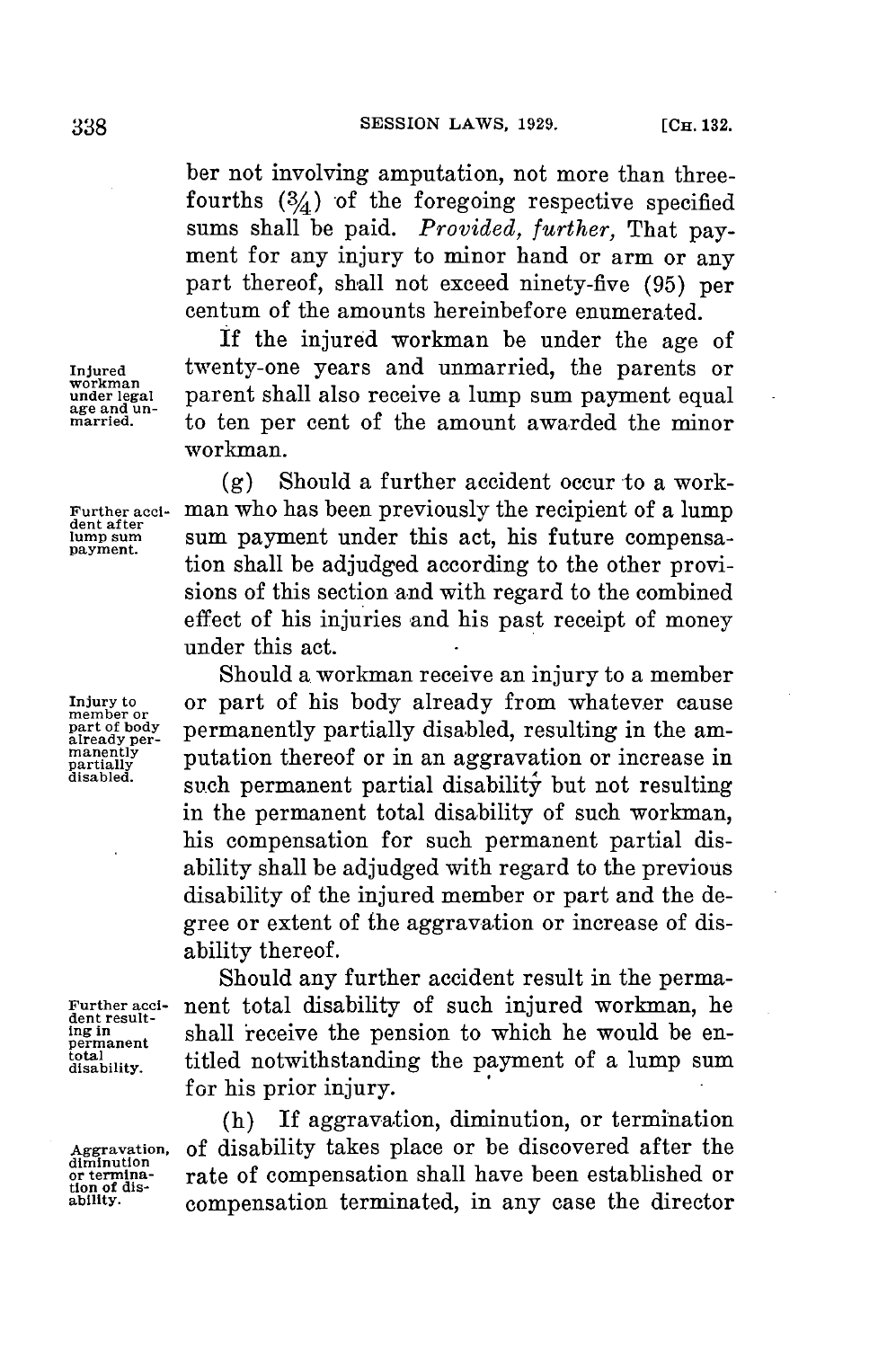ber not involving amputation, not more than threefourths  $(3/4)$  of the foregoing respective specified sums shall be paid. *Provided, further,* That payment **for** any injury to minor hand or arm or any part thereof, shall not exceed ninety-five **(95)** per centum of the amounts hereinbefore enumerated.

**If** the injured workman be under the age of twenty-one years and unmarried, the parents or **under legal** parent shall also receive a lump sum payment equal **age and un- married.** to ten per cent of the amount awarded the minor workman.

**(g)** Should a further accident occur to a work-**Further acci-** man who has been previously the recipient of a lump **dent after lump sum** sum payment under this act, his future compensa- **payment.** tion shall be adjudged according to the other provisions of this section and with regard to the combined effect of his injuries and his past receipt of money under this act.

Should a workman receive an injury to a member Injury to **or part of his body already from whatever cause**<br>
member or<br> **part of body permanently partially disabled, resulting in the am-**<br> **already per- principally part of the profile of the property of principall** manently putation thereof or in an aggravation or increase in partially and property of the disc of the disc of the disc of the disc of the disc of the disc of the disc of the disc of the disc of the disc of the disc of th such permanent partial disability but not resulting in the permanent total disability of such workman, his compensation for such permanent partial disability shall be adjudged with regard to the previous disability of the injured member or part and the degree or extent of the aggravation or increase of disability thereof.

Should any further accident result in the perma-Further acci- nent total disability of such injured workman, he dent result-<br> **dent result-**<br> **dent** result he people the pension to which he would be en-If  $\frac{1}{n}$  in  $\frac{1}{n}$  shall receive the pension to which he would be entitled notwithstanding the payment of a lump sum **for** his prior injury.

(h) If aggravation, diminution, or termination **Aggravation, of** disability takes place or be discovered after the rate of compensation shall have been established or **ability.** compensation terminated, in any case the director

**total**

**diminution tion of dis-**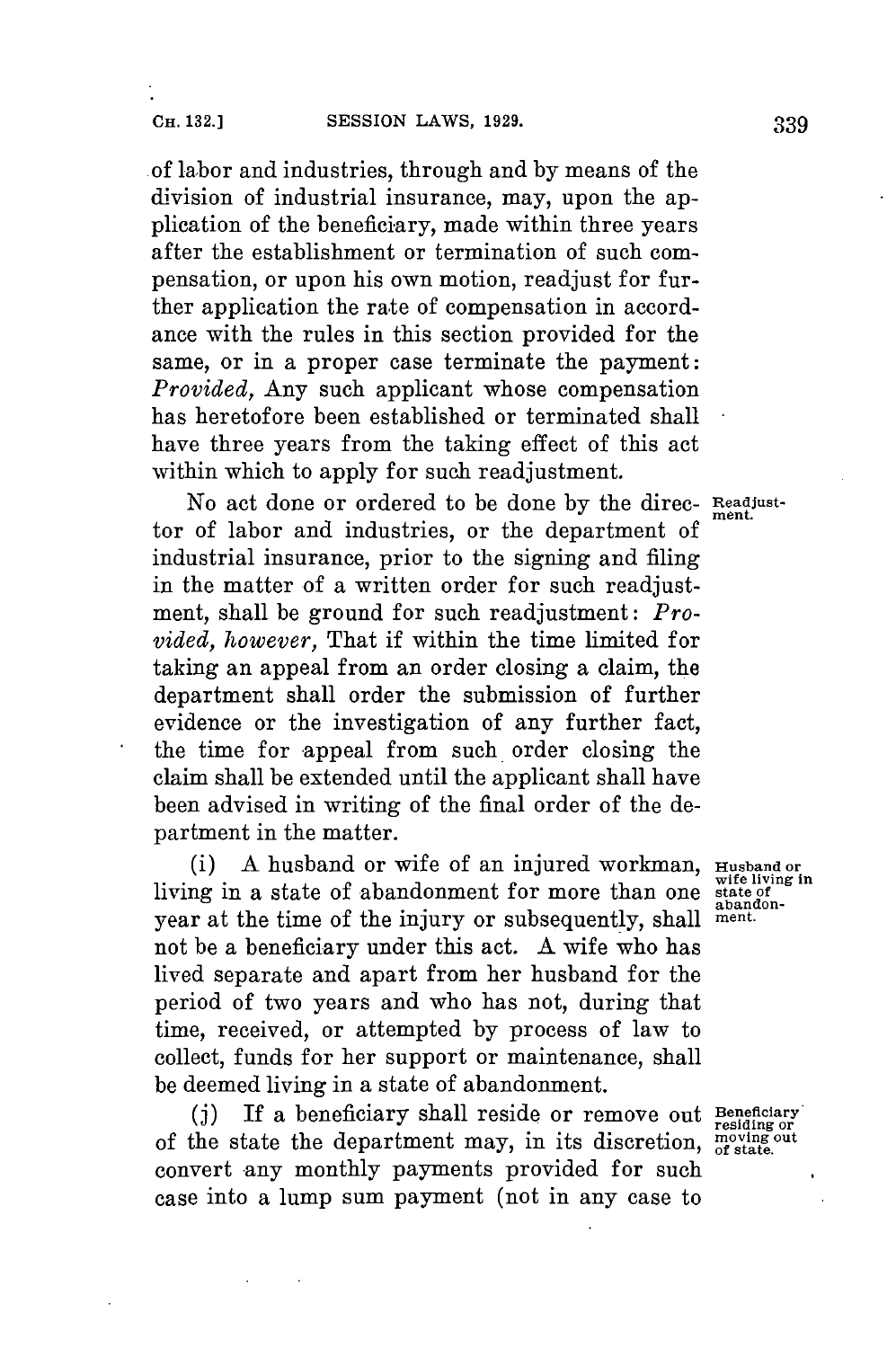of labor and industries, through and **by** means of the division of industrial insurance, may, upon the application of the beneficiary, made within three years after the establishment or termination of such compensation, or upon his own motion, readjust for further application the rate of compensation in accordance with the rules in this section provided for the same, or in a proper case terminate the payment: *Provided,* Any such applicant whose compensation has heretofore been established or terminated shall have three years from the taking effect of this act within which to apply **for** such readjustment.

No act done or ordered to be done **by** the direc- **Readjust-**ment. tor of labor and industries, or the department of industrial insurance, prior to the signing and filing in the matter of a written order for such readjustment, shall be ground for such readjustment: *Provided, however,* That if within the time limited for taking an appeal from an order closing a claim, the department shall order the submission of further evidence or the investigation of any further fact, the time for appeal from such order closing the claim shall be extended until the applicant shall have been advised in writing of the final order of the department in the matter.

(i) **A** husband or wife of an injured workman, **Husband or wife living in** living in a state of abandonment for more than one **state of** year at the time of the injury or subsequently, shall not be a beneficiary under this act. **A** wife who has lived separate and apart from her husband for the period of two years and who has not, during that time, received, or attempted **by** process of law to collect, funds for her support or maintenance, shall be deemed living in a state of abandonment.

**(j)** If a beneficiary shall reside or remove out **Beneficiary residing or** of the state the department may, in its discretion, **moving out** convert any monthly payments provided **for** such case into a lump sum payment (not in any case to

state of<br>abandon-<br>ment.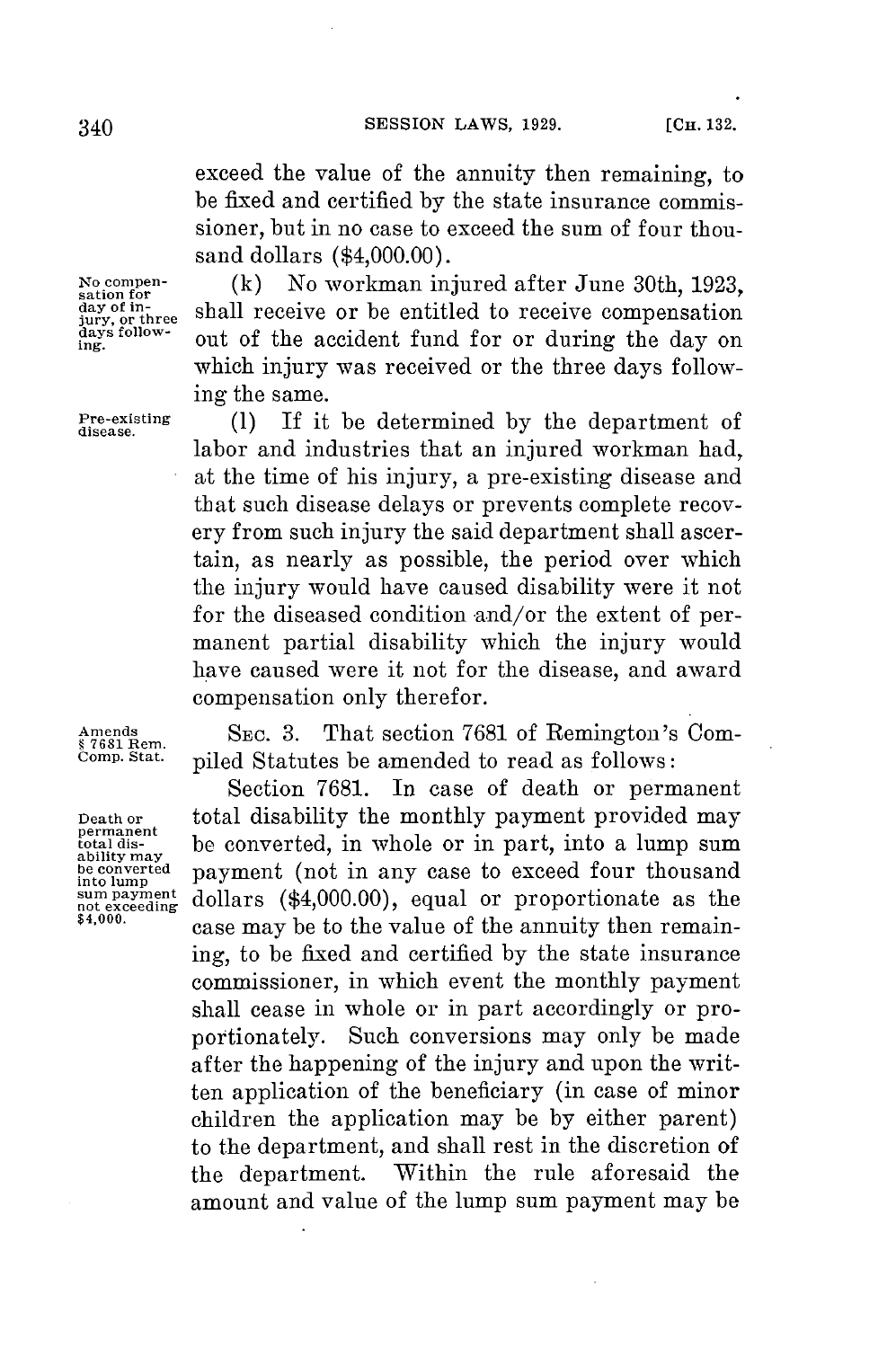exceed the value of the annuity then remaining, to be fixed and certified **by** the state insurance commissioner, but in no case to exceed the sum of four thousand dollars (\$4,000.00).

No compen-<br>
sation for<br>
day of in-<br>
integral and the compensation of the accident fund for or during the day on<br>
days follow-<br>
out of the accident fund for or during the day on shall receive or be entitled to receive compensation days follow- out of the accident fund for or during the day on which injury was received or the three days following the same.

**Pre-existing (1)** If it be determined **by** the department of labor and industries that an injured workman had, at the time of his injury, a pre-existing disease and that such disease delays or prevents complete recovery from such injury the said department shall ascertain, as nearly as possible, the period over which the injury would have caused disability were it not for the diseased condition and/or the extent of permanent partial disability which the injury would have caused were it not for the disease, and award compensation only therefor.

Amends<br>
§ 7681 Rem. SEC. 3. That section 7681 of Remington's Com-<br>Comp. Stat. pilod Statutes be amended to read as follows: piled Statutes be amended to read as follows:

Section **7681.** In case of death or permanent **Death or** total disability the monthly payment provided may permanent be converted, in whole or in part, into a lump sum ability may<br>bility may payment (not in any case to exceed four thousand<br>into lump ntential dollars (\$4,000.00), equal or proportionate as the<br>not exceeding dollars (\$4,000.00), equal or proportionate as the case may be to the value of the annuity then remaining, to be fixed and certified **by** the state insurance commissioner, in which event the monthly payment shall cease in whole or in part accordingly or proportionately. Such conversions may only be made after the happening of the injury and upon the written application of the beneficiary (in case of minor children the application may be **by** either parent) to the department, and shall rest in the discretion of the department. Within the rule aforesaid the amount and value of the lump sum payment may be

permanent<br>total dis-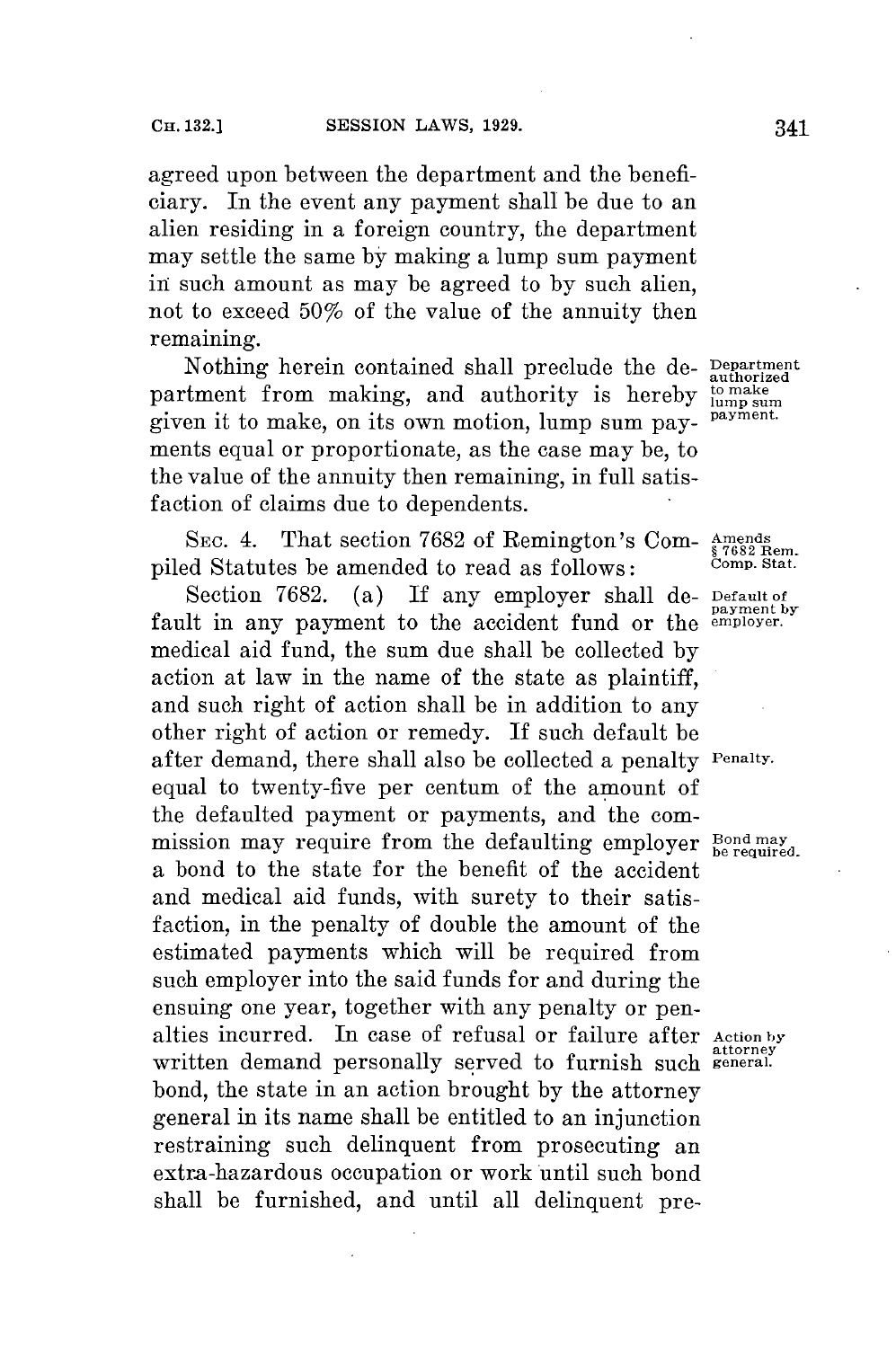agreed upon between the department and the beneficiary. In the event any payment shall be due to an alien residing in a foreign country, the department may settle the same **by** making a lump sum payment in such amount as may be agreed to **by** such alien, not to exceed 50% of the value of the annuity then remaining.

Nothing herein contained shall preclude the de- **Department** authorized partment from making, and authority is hereby **lump sum**<br>given it to make on its own metian lump sum seem payment. given it to make, on its own motion, lump sum payments equal or proportionate, as the case may be, to the value of the annuity then remaining, in full satisfaction of claims due to dependents.

**SEC.** 4. That section **7682** of Remington's Com- **Amends** piled Statutes be amended to read as follows:

Section **7682.** (a) **If** any employer shall de- **Default of payment by** fault in any payment to the accident fund or the **employer.** medical aid fund, the sum due shall be collected **by** action at law in the name of the state as plaintiff, and such right of action shall be in addition to any other right of action or remedy. If such default **be** after demand, there shall also be collected a penalty **Penalty.** equal to twenty-five per centum of the amount of the defaulted payment or payments, and the commission may require from the defaulting employer  $_{\text{be required}}^{\text{Bond may}}$ a bond to the state **for** the benefit of the accident and medical aid funds, with surety to their satisfaction, in the penalty of double the amount of the estimated payments which will be required from such employer into the said funds **for** and during the ensuing one year, together with any penalty or penalties incurred. In case of refusal or failure after Action by written demand personally served to furnish such **general**. bond, the state in an action brought **by** the attorney general in its name shall be entitled to an injunction restraining such delinquent from prosecuting an extra-hazardous occupation or work until such bond shall be furnished, and until all delinquent pre-

**§ 7682 Rem.**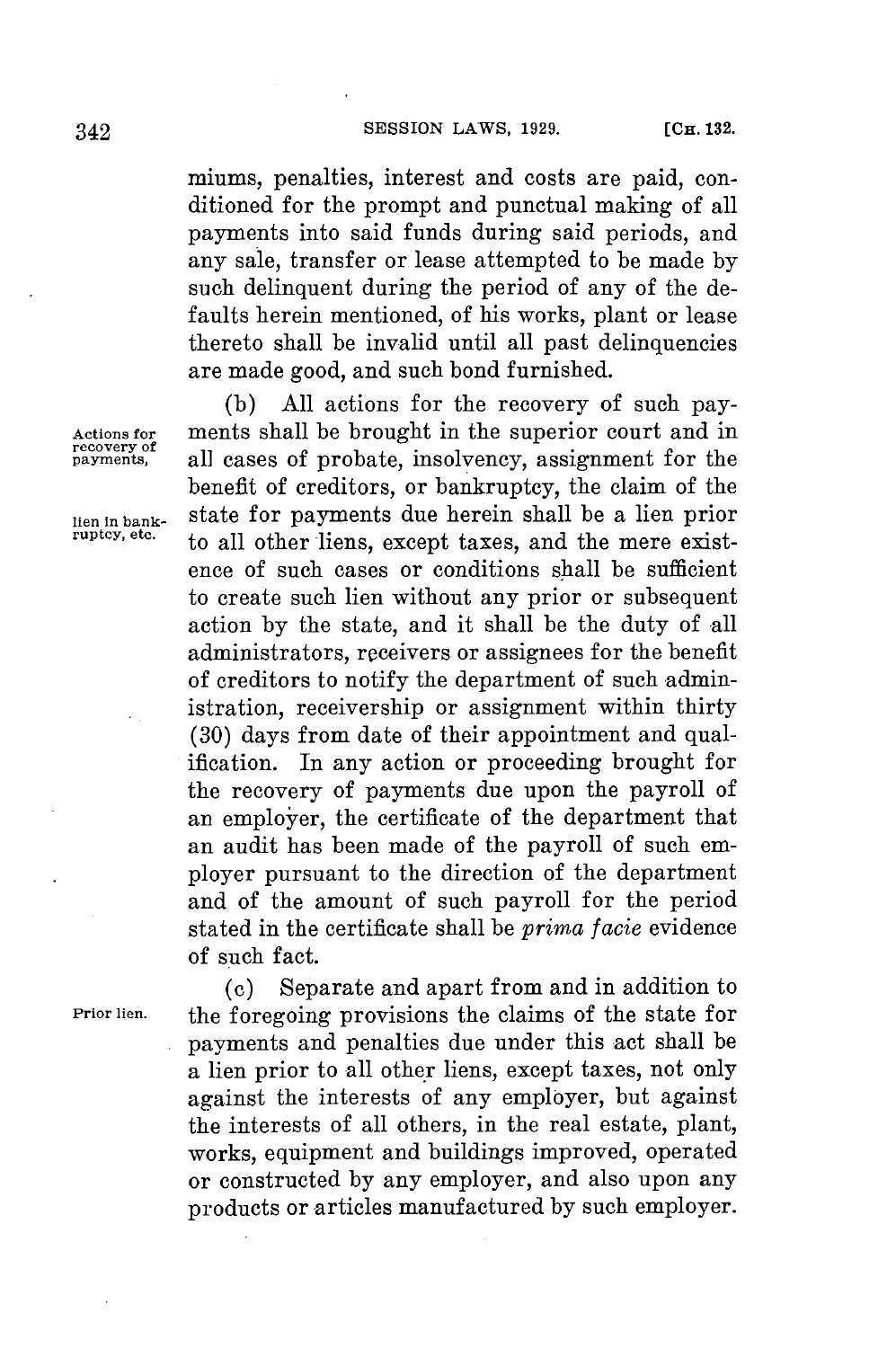miums, penalties, interest and costs are paid, conditioned for the prompt and punctual making of all payments into said funds during said periods, and any sale, transfer or lease attempted to be made **by** such delinquent during the period of any of the defaults herein mentioned, of his works, plant or lease thereto shall be invalid until all past delinquencies are made good, and such bond furnished.

**(b) All** actions **for** the recovery of such pay-**Actions for** ments shall be brought in the superior court and in all cases of probate, insolvency, assignment for the benefit of creditors, or bankruptcy, the claim of the **lien in bank-** state for payments due herein shall be a lien prior to all other liens, except taxes, and the mere existence of such cases or conditions shall be sufficient to create such lien without any prior or subsequent action **by** the state, and it shall be the duty of all administrators, receivers or assignees for the benefit of creditors to notify the department of such administration, receivership or assignment within thirty **(30)** days from date of their appointment and qualification. In any action or proceeding brought for the recovery of payments due upon the payroll of an employer, the certificate of the department that an audit has been made of the payroll of such employer pursuant to the direction of the department and of the amount of such payroll **for** the period stated in the certificate shall be *prima facie* evidence of such fact.

**(c)** Separate and apart from and in addition to **Prior lien.** the foregoing provisions the claims of the state for payments and penalties due under this act shall be a lien prior to all other liens, except taxes, not only against the interests of any employer, but against the interests of all others, in the real estate, plant, works, equipment and buildings improved, operated or constructed **by** any employer, and also upon any products or articles manufactured **by** such employer.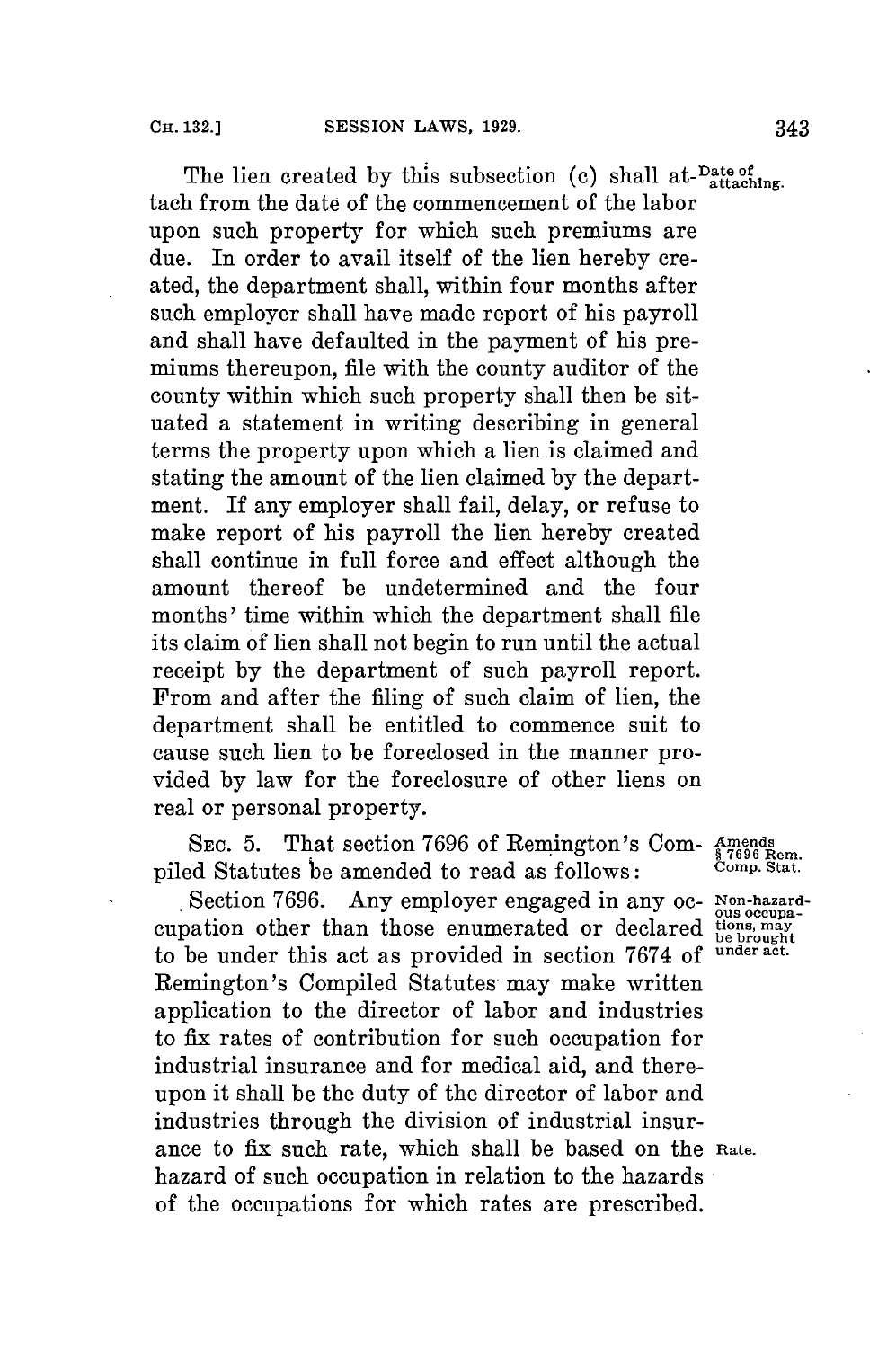The lien created by this subsection (c) shall at-<sup>Date of</sup> attaching tach from the date of the commencement of the labor upon such property **for** which such premiums are due. In order to avail itself of the lien hereby created, the department shall, within four months after such employer shall have made report of his payroll and shall have defaulted in the payment of his premiums thereupon, file with the county auditor of the county within which such property shall then be situated a statement in writing describing in general terms the property upon which a lien is claimed and stating the amount of the lien claimed **by** the department. If any employer shall fail, delay, or refuse to make report of his payroll the lien hereby created shall continue in full force and effect although the amount thereof be undetermined and the four months' time within which the department shall **file** its claim of lien shall not begin to run until the actual receipt **by** the department of such payroll report. From and after the filing of such claim of lien, the department shall be entitled to commence suit to cause such lien to be foreclosed in the manner provided **by** law **for** the foreclosure of other liens on real or personal property.

SEC. 5. That section 7696 of Remington's Com- **Amends § 7696** Rem. piled Statutes be amended to read as follows: **Comp. Stat.**

Section **7696.** Any employer engaged in any **oc- Non-hazard**cupation other than those enumerated or declared  $\frac{\text{diss occurs}}{\text{bens.}}$ <br>to be under this act as provided in section 7674 of under act. to be under this act as provided in section 7674 of Remington's Compiled Statutes may make written application to the director of labor and industries to fix rates of contribution for such occupation for industrial insurance and for medical aid, and thereupon it shall be the duty of the director of labor and industries through the division of industrial insurance to fix such rate, which shall be based on the **Rate.** hazard of such occupation in relation to the hazards of the occupations for which rates are prescribed.

ous occupa-<br>tions, may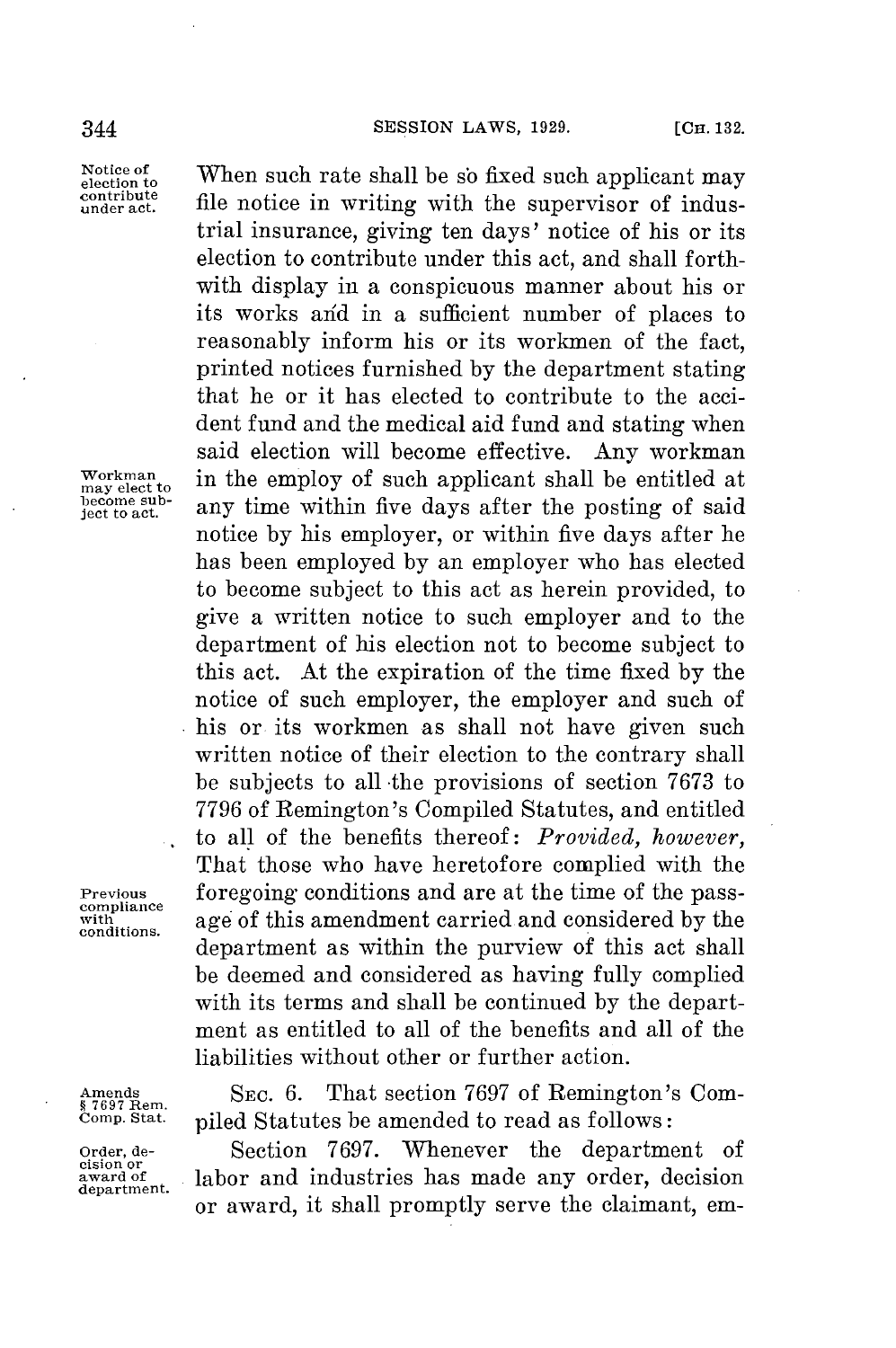file notice in writing with the supervisor of industrial insurance, giving ten days' notice of his or its election to contribute under this act, and shall forthwith display in a conspicuous manner about his or its works arid in a sufficient number of places to reasonably inform his or its workmen of the fact, printed notices furnished **by** the department stating that he or it has elected to contribute to the accident fund and the medical aid fund and stating when said election will become effective. Any workman

any time within five days after the posting of said notice **by** his employer, or within five days after he has been employed **by** an employer who has elected to become subject to this act as herein provided, to give a written notice to such employer and to the department of his election not to become subject to this act. At the expiration of the time fixed **by** the notice of such employer, the employer and such of his or its workmen as shall not have given such written notice of their election to the contrary shall **be** subjects to all -the provisions of section **7673** to **7796** of Remington's Compiled Statutes, and entitled to all of the benefits thereof: *Provided, however,* That those who have heretofore complied with the

Notice of **When such rate shall be so fixed such applicant may contribute**

**wor me** to in the employ of such applicant shall be entitled at become sub-<br>ject to act.

**Previous foregoing conditions and are at the time of the pass-**<br> **compliance explored** and **considered** by the conditions

Amends SEC. 6. That section 7697 of Remington's Com-*k*<sup>87697</sup> Rem.<br> *Comp. Stat.* **piled Statutes be amended to read as follows** piled Statutes be amended to read as follows:

liabilities without other or further action.

**with s** age of this amendment carried and considered **by** the department as within the purview of this act shall be deemed and considered as having fully complied with its terms and shall be continued **by** the department as entitled to all of the benefits and all of the

**Order, de-** Section **7697.** Whenever the department of **cision or award of** labor and industries has made any order, decision **department.** or award, it shall promptly serve the claimant, em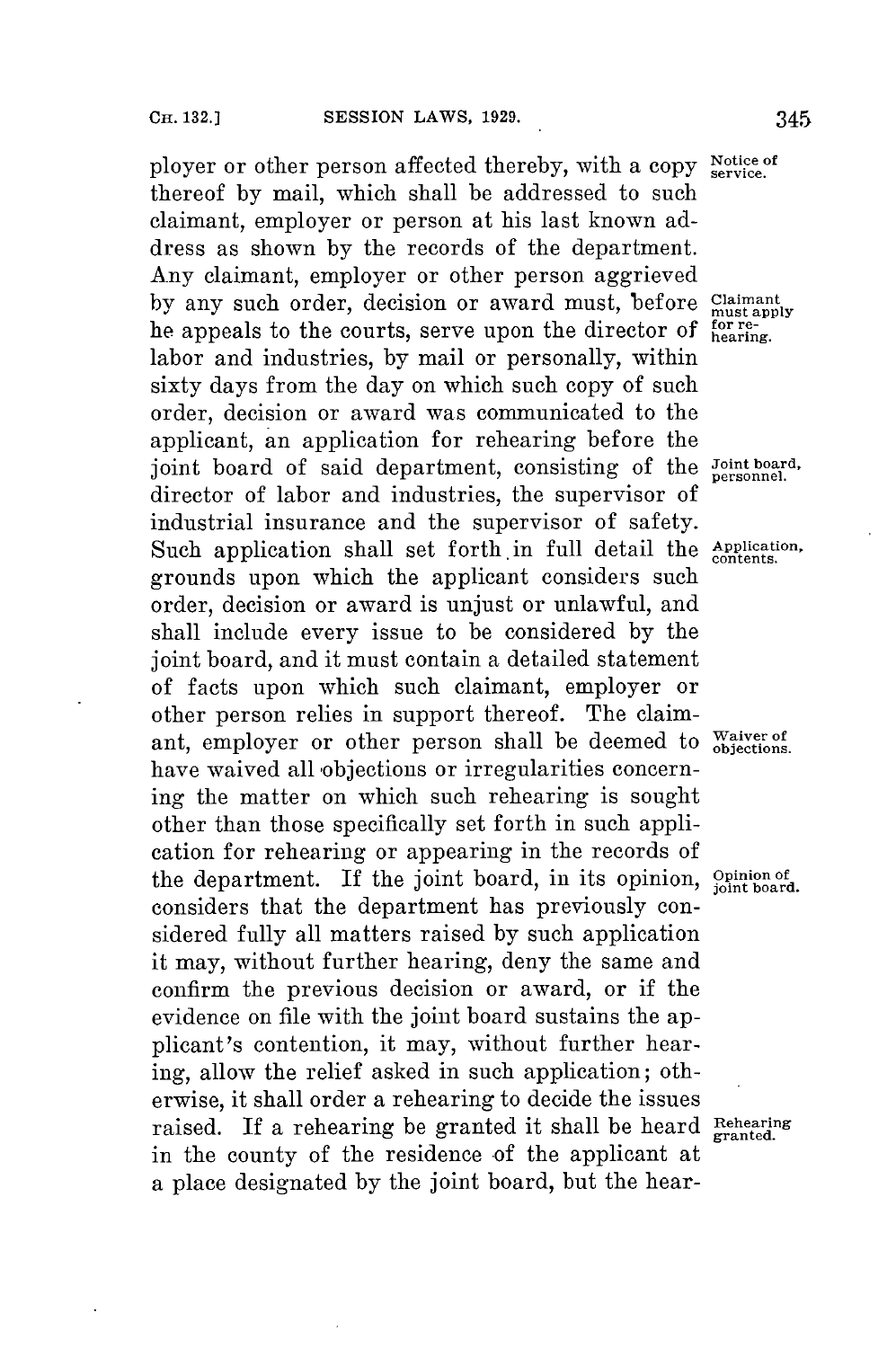ployer or other person affected thereby, with a copy **Notice of** thereof **by** mail, which shall be addressed to such claimant, employer or person at his last known address as shown **by** the records of the department. Any claimant, employer or other person aggrieved by any such order, decision or award must, before Claimant he appeals to the courts, serve upon the director of **forr** labor and industries, **by** mail or personally, within sixty days from the day on which such copy of such order, decision or award was communicated to the applicant, an application **for** rehearing before the joint board of said department, consisting of the Joint board, director of labor and industries, the supervisor of industrial insurance and the supervisor of safety. Such application shall set forth in full detail the *Application*, grounds upon which the applicant considers such order, decision or award is unjust or unlawful, and shall include every issue to be considered **by** the joint board, and it must contain a detailed statement of facts upon which such claimant, employer or other person relies in support thereof. The claimant, employer or other person shall be deemed to waiver of have waived all objections or irregularities concerning the matter on which such rehearing is sought other than those specifically set forth in such application **for** rehearing or appearing in the records of the department. If the joint board, in its opinion, **Opinion of joint board.** considers that the department has previously considered fully all matters raised **by** such application it may, without further hearing, deny the same and confirm the previous decision or award, or if the evidence on file with the joint board sustains the applicant's contention, it may, without further hearing, allow the relief asked in such application; otherwise, it shall order a rehearing to decide the issues raised. If a rehearing be granted it shall be heard **Rehearing** in the county of the residence of the applicant at a place designated **by** the joint board, but the hear-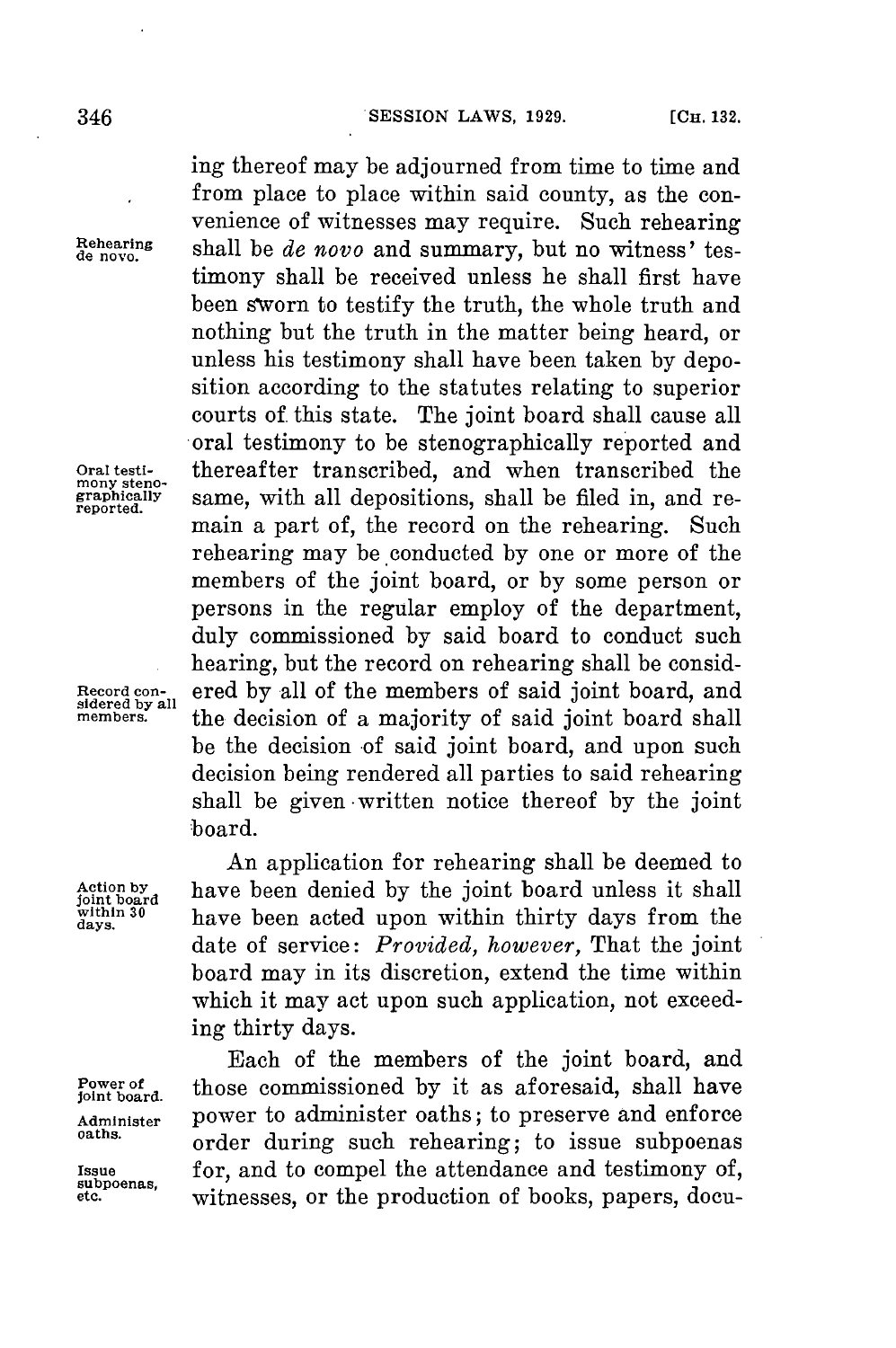ing thereof may be adjourned from time to time and from place to place within said county, as the convenience of witnesses may require. Such rehearing **ehearing** shall be *de novo* and summary, but no witness' testimony shall be received unless he shall first have been sworn to testify the truth, the whole truth and nothing but the truth in the matter being heard, or unless his testimony shall have been taken **by** deposition according to the statutes relating to superior courts of this state. The joint board shall cause all oral testimony to be stenographically reported and Oral testi-<br>mony steno-<br>graphically same, with all depositions, shall be filed in and re**graphically** same, with all depositions, shall be filed in, and remain a part of, the record on the rehearing. Such rehearing may be conducted **by** one or more of the members of the joint board, or **by** some person or persons in the regular employ of the department, duly commissioned **by** said board to conduct such hearing, but the record on rehearing shall be consid-**Record con-** ered **by** all of the members of said joint board, and members. <sup>all</sup> the decision of a majority of said joint board shall be the decision of said joint board, and upon such decision being rendered all parties to said rehearing shall be given -written notice thereof **by** the joint board.

An application for rehearing shall be deemed to Action by **have been denied by the joint board unless it shall** joint board unless it shall within 30 within 30 have been acted upon within thirty days from the date of service: *Provided, however,* That the joint board may in its discretion, extend the time within which it may act upon such application, not exceeding thirty days.

Each of the members of the joint board, and **Power of** those commissioned **by** it as aforesaid, shall have **joint board.** Administer **POWER to administer oaths**; to preserve and enforce order during such rehearing; to issue subpoenas Issue **for, and to compel the attendance and testimony of,** subpoenas, witnesses or the production of books papers docuwitnesses, or the production of books, papers, docu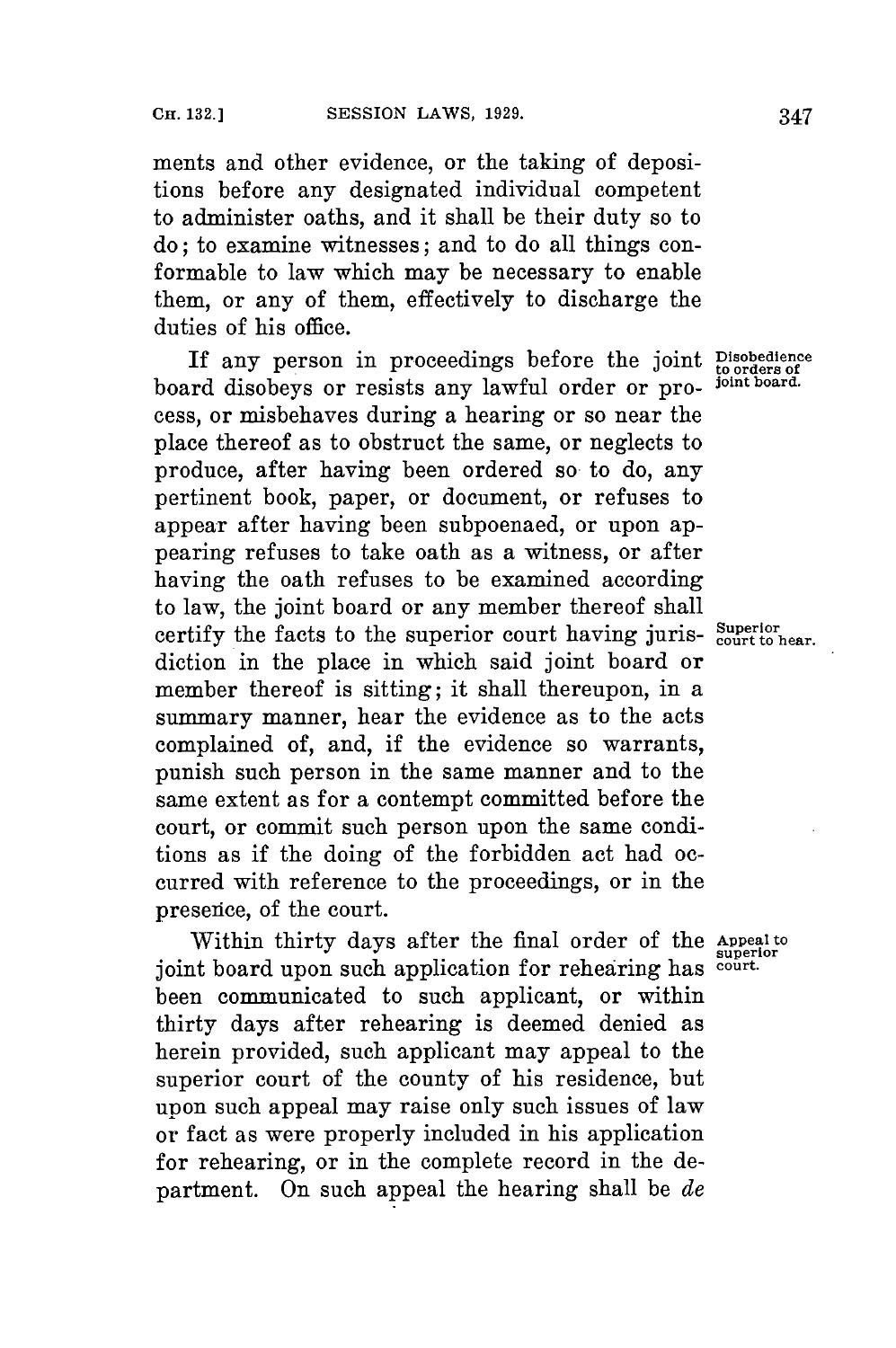ments and other evidence, or the taking of depositions before any designated individual competent to administer oaths, and it shall be their duty so to do; to examine witnesses; and to do all things conformable to law which may be necessary to enable them, or any of them, effectively to discharge the duties of his office.

If any person in proceedings before the joint **Disobedience to orders of** board disobeys or resists any lawful order or process, or misbehaves during a hearing or so near the place thereof as to obstruct the same, or neglects to produce, after having been ordered so to do, any pertinent book, paper, or document, or refuses to appear after having been subpoenaed, or upon appearing refuses to take oath as a witness, or after having the oath refuses to be examined according to law, the joint board or any member thereof shall certify the facts to the superior court having juris- Superior centric hear. diction in the place in which said joint board or member thereof is sitting; it shall thereupon, in a summary manner, hear the evidence as to the acts complained of, and, if the evidence so warrants, punish such person in the same manner and to the same extent as for a contempt committed before the court, or commit such person upon the same conditions as if the doing of the forbidden act had occurred with reference to the proceedings, or in the presence, of the court.

Within thirty days after the final order of the **Appeal to** joint board upon such application for rehearing has **court.** been communicated to such applicant, or within thirty days after rehearing is deemed denied as herein provided, such applicant may appeal to the superior court of the county of his residence, but upon such appeal may raise only such issues of law or fact as were properly included in his application for rehearing, or in the complete record in the department. On such appeal the hearing shall be *de*

**superior**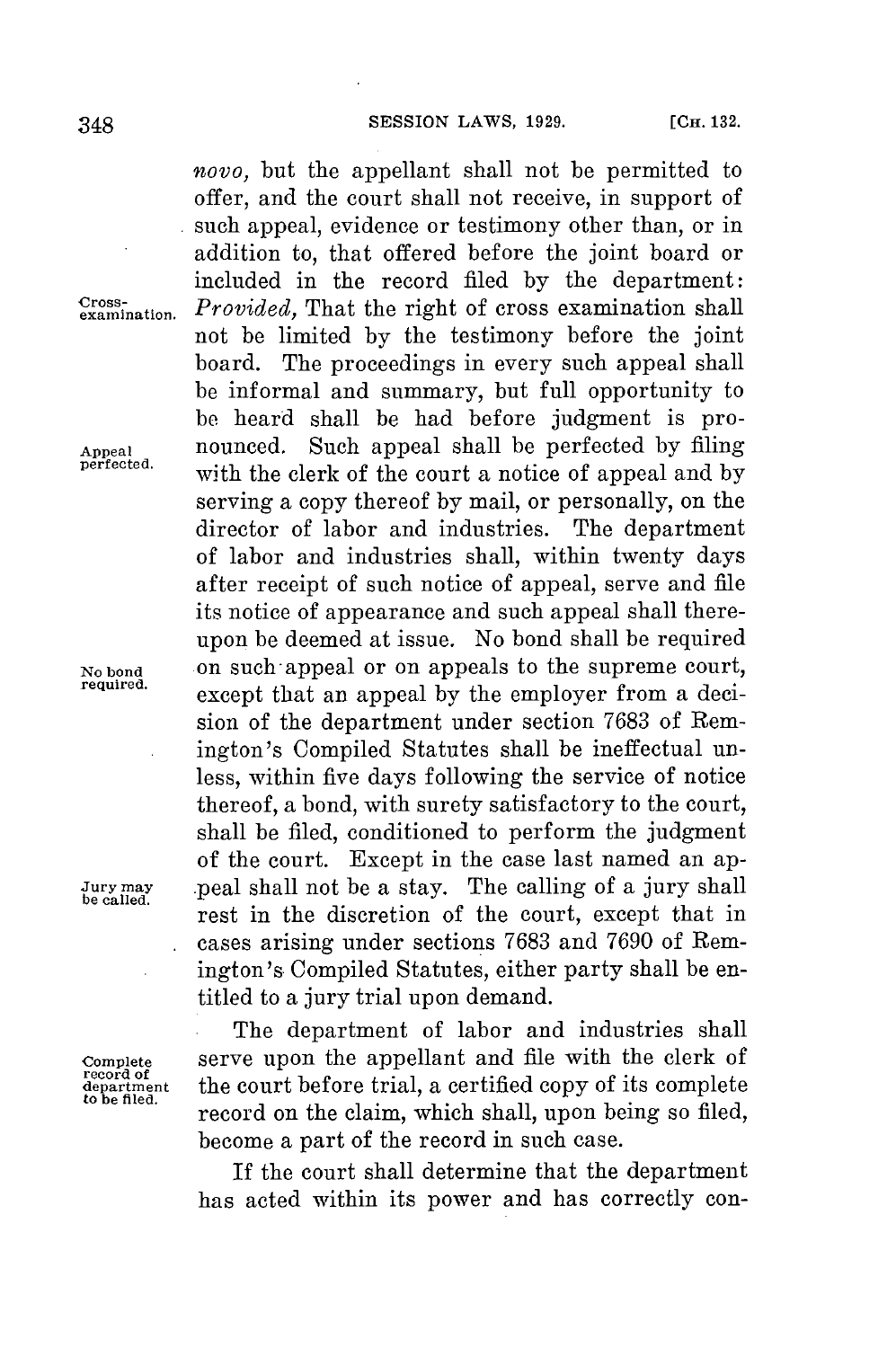*novo,* but the appellant shall not be permitted to offer, and the court shall not receive, in support of such appeal, evidence or testimony other than, or in addition to, that offered before the joint board or included in the record filed **by** the department: **emination.** *Provided,* That the right of cross examination shall not be limited **by** the testimony before the joint board. The proceedings in every such appeal shall be informal and summary, but full opportunity to **be** heard shall be had before judgment is pro-**Appeal** nounced. Such appeal shall be perfected **by** filing with the clerk of the court a notice of appeal and by serving a copy thereof **by** mail, or personally, on the director of labor and industries. The department of labor and industries shall, within twenty days after receipt of such notice of appeal, serve and file its notice of appearance and such appeal shall thereupon be deemed at issue. No bond shall be required No bond on such appeal or on appeals to the supreme court, except that an appeal by the employer from a decision of the department under section **7683** of Remington's Compiled Statutes shall be ineffectual unless, within five days following the service of notice thereof, a bond, with surety satisfactory to the court, shall be filed, conditioned to perform the judgment of the court. Except in the case last named an ap-**Jury may** peal shall not be a stay. The calling of a jury shall rest in the discretion of the court, except that in cases arising under sections **7683** and **7690** of Remington's Compiled Statutes, either party shall be entitled to a jury trial upon demand.

The department of labor and industries shall Complete serve upon the appellant and file with the clerk of record of<br>department the court before trial, a certified copy of its complete department **the court before trial, a certified copy of its complete**<br><sup>to be filed.</sup> record on the claim, which shall, upon being so filed, become a part of the record in such case.

> If the court shall determine that the department has acted within its power and has correctly con